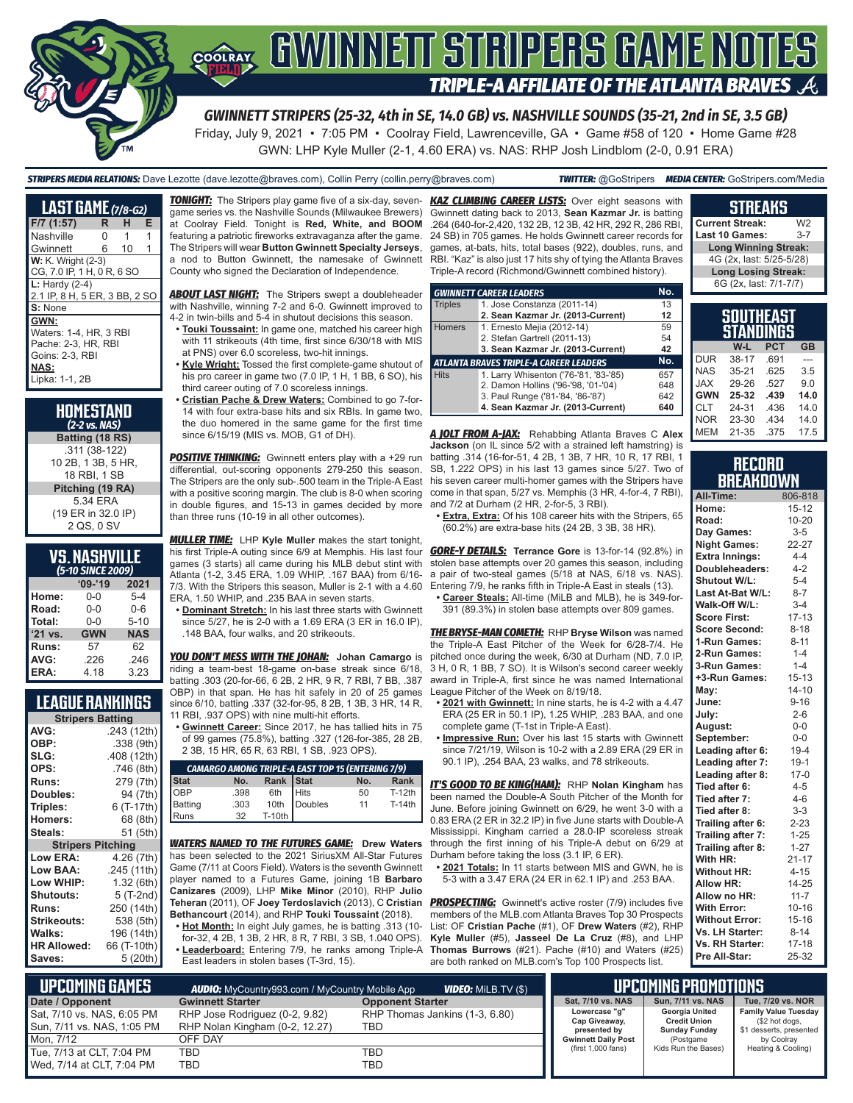

## **COORAY GWINNEIT STRIPERS GAME NOTES TRIPLE-A AFFILIATE OF THE ATLANTA BRAVES**

*GWINNETT STRIPERS (25-32, 4th in SE, 14.0 GB) vs. NASHVILLE SOUNDS (35-21, 2nd in SE, 3.5 GB)*

Friday, July 9, 2021 • 7:05 PM • Coolray Field, Lawrenceville, GA • Game #58 of 120 • Home Game #28 GWN: LHP Kyle Muller (2-1, 4.60 ERA) vs. NAS: RHP Josh Lindblom (2-0, 0.91 ERA)

#### *STRIPERS MEDIA RELATIONS:* Dave Lezotte (dave.lezotte@braves.com), Collin Perry (collin.perry@braves.com) *TWITTER:* @GoStripers *MEDIA CENTER:* GoStripers.com/Media

| <b>LAST GAME</b> (7/8-G2)     |    |    |   |
|-------------------------------|----|----|---|
| $F/7$ (1:57)                  | R. | н  | Е |
| Nashville                     | N  | 1  | 1 |
| Gwinnett                      | 6  | 10 | 1 |
| <b>W:</b> K. Wright (2-3)     |    |    |   |
| CG, 7.0 IP, 1 H, 0 R, 6 SO    |    |    |   |
| $L:$ Hardy $(2-4)$            |    |    |   |
| 2.1 IP, 8 H, 5 ER, 3 BB, 2 SO |    |    |   |
| S: None                       |    |    |   |
| GWN:                          |    |    |   |
| Waters: 1-4, HR, 3 RBI        |    |    |   |
| Pache: 2-3. HR. RBI           |    |    |   |
| Goins: 2-3, RBI               |    |    |   |
| NAS:                          |    |    |   |
| Lipka: 1-1, 2B                |    |    |   |
|                               |    |    |   |

**HOMESTAND**  *(2-2 vs. NAS)* **Batting (18 RS)** .311 (38-122) 10 2B, 1 3B, 5 HR, 18 RBI, 1 SB **Pitching (19 RA)** 5.34 ERA (19 ER in 32.0 IP) 2 QS, 0 SV

|                           | <b>VS. NASHVILLE</b> |
|---------------------------|----------------------|
| $\sqrt{5}$ 40 CINCE 2000) |                      |

| (5-10 SINCE 2009) |            |            |  |  |  |  |  |  |
|-------------------|------------|------------|--|--|--|--|--|--|
|                   | $09 - 19$  | 2021       |  |  |  |  |  |  |
| Home:             | 0-0        | $5 - 4$    |  |  |  |  |  |  |
| Road:             | $0 - 0$    | $0 - 6$    |  |  |  |  |  |  |
| Total:            | $0 - 0$    | $5 - 10$   |  |  |  |  |  |  |
| '21 vs.           | <b>GWN</b> | <b>NAS</b> |  |  |  |  |  |  |
| Runs:             | 57         | 62         |  |  |  |  |  |  |
| AVG:              | .226       | .246       |  |  |  |  |  |  |
| ERA:              | 4.18       | 3.23       |  |  |  |  |  |  |

#### **LEAGUE RANKINGS**

| <b>Stripers Batting</b>  |             |  |  |  |  |  |
|--------------------------|-------------|--|--|--|--|--|
| AVG:                     | .243 (12th) |  |  |  |  |  |
| OBP:                     | .338(9th)   |  |  |  |  |  |
| SLG:                     | .408 (12th) |  |  |  |  |  |
| OPS:                     | .746 (8th)  |  |  |  |  |  |
| <b>Runs:</b>             | 279 (7th)   |  |  |  |  |  |
| Doubles:                 | 94 (7th)    |  |  |  |  |  |
| Triples:                 | 6 (T-17th)  |  |  |  |  |  |
| <b>Homers:</b>           | 68 (8th)    |  |  |  |  |  |
| Steals:                  | 51 (5th)    |  |  |  |  |  |
| <b>Stripers Pitching</b> |             |  |  |  |  |  |
| <b>Low ERA:</b>          | 4.26 (7th)  |  |  |  |  |  |
| Low BAA:                 | .245 (11th) |  |  |  |  |  |
| Low WHIP:                | 1.32(6th)   |  |  |  |  |  |
| Shutouts:                | 5 (T-2nd)   |  |  |  |  |  |
| Runs:                    | 250 (14th)  |  |  |  |  |  |
| Strikeouts:              | 538 (5th)   |  |  |  |  |  |
| Walks:                   | 196 (14th)  |  |  |  |  |  |
| <b>HR Allowed:</b>       | 66 (T-10th) |  |  |  |  |  |
| Saves:                   | 5 (20th)    |  |  |  |  |  |

*TONIGHT:* The Stripers play game five of a six-day, sevengame series vs. the Nashville Sounds (Milwaukee Brewers) at Coolray Field. Tonight is **Red, White, and BOOM** featuring a patriotic fireworks extravaganza after the game. The Stripers will wear **Button Gwinnett Specialty Jerseys**, a nod to Button Gwinnett, the namesake of Gwinnett County who signed the Declaration of Independence.

*ABOUT LAST NIGHT:* The Stripers swept a doubleheader with Nashville, winning 7-2 and 6-0. Gwinnett improved to 4-2 in twin-bills and 5-4 in shutout decisions this season.

**• Touki Toussaint:** In game one, matched his career high with 11 strikeouts (4th time, first since 6/30/18 with MIS at PNS) over 6.0 scoreless, two-hit innings.

**• Kyle Wright:** Tossed the first complete-game shutout of his pro career in game two (7.0 IP, 1 H, 1 BB, 6 SO), his third career outing of 7.0 scoreless innings.

**• Cristian Pache & Drew Waters:** Combined to go 7-for-14 with four extra-base hits and six RBIs. In game two, the duo homered in the same game for the first time since 6/15/19 (MIS vs. MOB, G1 of DH).

**POSITIVE THINKING:** Gwinnett enters play with a +29 run differential, out-scoring opponents 279-250 this season. The Stripers are the only sub-.500 team in the Triple-A East with a positive scoring margin. The club is 8-0 when scoring in double figures, and 15-13 in games decided by more than three runs (10-19 in all other outcomes).

*MULLER TIME:* LHP **Kyle Muller** makes the start tonight, his first Triple-A outing since 6/9 at Memphis. His last four games (3 starts) all came during his MLB debut stint with Atlanta (1-2, 3.45 ERA, 1.09 WHIP, .167 BAA) from 6/16- 7/3. With the Stripers this season, Muller is 2-1 with a 4.60 ERA, 1.50 WHIP, and .235 BAA in seven starts.

**• Dominant Stretch:** In his last three starts with Gwinnett since 5/27, he is 2-0 with a 1.69 ERA (3 ER in 16.0 IP), .148 BAA, four walks, and 20 strikeouts.

*YOU DON'T MESS WITH THE JOHAN:* **Johan Camargo** is riding a team-best 18-game on-base streak since 6/18, batting .303 (20-for-66, 6 2B, 2 HR, 9 R, 7 RBI, 7 BB, .387 OBP) in that span. He has hit safely in 20 of 25 games since 6/10, batting .337 (32-for-95, 8 2B, 1 3B, 3 HR, 14 R, 11 RBI, .937 OPS) with nine multi-hit efforts.

**• Gwinnett Career:** Since 2017, he has tallied hits in 75 of 99 games (75.8%), batting .327 (126-for-385, 28 2B, 2 3B, 15 HR, 65 R, 63 RBI, 1 SB, .923 OPS).

| <b>CAMARGO AMONG TRIPLE-A EAST TOP 15 (ENTERING 7/9)</b> |      |           |                     |     |        |  |  |  |  |
|----------------------------------------------------------|------|-----------|---------------------|-----|--------|--|--|--|--|
| <b>Stat</b>                                              | No.  | Rank Stat |                     | No. | Rank   |  |  |  |  |
| OBP                                                      | .398 |           |                     | 50  | T-12th |  |  |  |  |
| Batting<br>Runs                                          | .303 |           | 6th<br>10th Doubles | 11  | T-14th |  |  |  |  |
|                                                          | 32   | $T-10th$  |                     |     |        |  |  |  |  |

*WATERS NAMED TO THE FUTURES GAME:* **Drew Waters** has been selected to the 2021 SiriusXM All-Star Futures Game (7/11 at Coors Field). Waters is the seventh Gwinnett player named to a Futures Game, joining 1B **Barbaro Canizares** (2009), LHP **Mike Minor** (2010), RHP **Julio Teheran** (2011), OF **Joey Terdoslavich** (2013), C **Cristian**  *PROSPECTING:* Gwinnett's active roster (7/9) includes five **Bethancourt** (2014), and RHP **Touki Toussaint** (2018).

**• Hot Month:** In eight July games, he is batting .313 (10 for-32, 4 2B, 1 3B, 2 HR, 8 R, 7 RBI, 3 SB, 1.040 OPS). **• Leaderboard:** Entering 7/9, he ranks among Triple-A East leaders in stolen bases (T-3rd, 15).

**KAZ CLIMBING CAREER LISTS:** Over eight seasons with Gwinnett dating back to 2013, **Sean Kazmar Jr.** is batting .264 (640-for-2,420, 132 2B, 12 3B, 42 HR, 292 R, 286 RBI, 24 SB) in 705 games. He holds Gwinnett career records for games, at-bats, hits, total bases (922), doubles, runs, and RBI. "Kaz" is also just 17 hits shy of tying the Atlanta Braves Triple-A record (Richmond/Gwinnett combined history).

| No.<br><b>GWINNETT CAREER LEADERS</b> |                                               |     |  |  |  |  |  |
|---------------------------------------|-----------------------------------------------|-----|--|--|--|--|--|
| <b>Triples</b>                        | 1. Jose Constanza (2011-14)                   | 13  |  |  |  |  |  |
|                                       | 2. Sean Kazmar Jr. (2013-Current)             | 12  |  |  |  |  |  |
| <b>Homers</b>                         | 1. Ernesto Mejia (2012-14)                    | 59  |  |  |  |  |  |
|                                       | 2. Stefan Gartrell (2011-13)                  | 54  |  |  |  |  |  |
|                                       | 3. Sean Kazmar Jr. (2013-Current)             |     |  |  |  |  |  |
|                                       | <b>ATLANTA BRAVES TRIPLE-A CAREER LEADERS</b> | No. |  |  |  |  |  |
| <b>Hits</b>                           | 1. Larry Whisenton ('76-'81, '83-'85)         | 657 |  |  |  |  |  |
|                                       | 2. Damon Hollins ('96-'98, '01-'04)           | 648 |  |  |  |  |  |
|                                       | 3. Paul Runge ('81-'84, '86-'87)              | 642 |  |  |  |  |  |
|                                       | 4. Sean Kazmar Jr. (2013-Current)             | 640 |  |  |  |  |  |

*A JOLT FROM A-JAX:* Rehabbing Atlanta Braves C **Alex Jackson** (on IL since 5/2 with a strained left hamstring) is batting .314 (16-for-51, 4 2B, 1 3B, 7 HR, 10 R, 17 RBI, 1 SB, 1.222 OPS) in his last 13 games since 5/27. Two of his seven career multi-homer games with the Stripers have come in that span, 5/27 vs. Memphis (3 HR, 4-for-4, 7 RBI), and 7/2 at Durham (2 HR, 2-for-5, 3 RBI).

**• Extra, Extra:** Of his 108 career hits with the Stripers, 65 (60.2%) are extra-base hits (24 2B, 3 3B, 38 HR).

*GORE-Y DETAILS:* **Terrance Gore** is 13-for-14 (92.8%) in stolen base attempts over 20 games this season, including a pair of two-steal games (5/18 at NAS, 6/18 vs. NAS). Entering 7/9, he ranks fifth in Triple-A East in steals (13). **• Career Steals:** All-time (MiLB and MLB), he is 349-for-

391 (89.3%) in stolen base attempts over 809 games.

*THE BRYSE-MAN COMETH:* RHP **Bryse Wilson** was named the Triple-A East Pitcher of the Week for 6/28-7/4. He pitched once during the week, 6/30 at Durham (ND, 7.0 IP, 3 H, 0 R, 1 BB, 7 SO). It is Wilson's second career weekly award in Triple-A, first since he was named International League Pitcher of the Week on 8/19/18.

- **• 2021 with Gwinnett:** In nine starts, he is 4-2 with a 4.47 ERA (25 ER in 50.1 IP), 1.25 WHIP, .283 BAA, and one complete game (T-1st in Triple-A East).
- **• Impressive Run:** Over his last 15 starts with Gwinnett since 7/21/19, Wilson is 10-2 with a 2.89 ERA (29 ER in 90.1 IP), .254 BAA, 23 walks, and 78 strikeouts.

*IT'S GOOD TO BE KING(HAM):* RHP Nolan Kingham has been named the Double-A South Pitcher of the Month for June. Before joining Gwinnett on 6/29, he went 3-0 with a 0.83 ERA (2 ER in 32.2 IP) in five June starts with Double-A Mississippi. Kingham carried a 28.0-IP scoreless streak through the first inning of his Triple-A debut on 6/29 at Durham before taking the loss (3.1 IP, 6 ER).

**• 2021 Totals:** In 11 starts between MIS and GWN, he is 5-3 with a 3.47 ERA (24 ER in 62.1 IP) and .253 BAA.

members of the MLB.com Atlanta Braves Top 30 Prospects List: OF **Cristian Pache** (#1), OF **Drew Waters** (#2), RHP **Kyle Muller** (#5), **Jasseel De La Cruz** (#8), and LHP **Thomas Burrows** (#21). Pache (#10) and Waters (#25) are both ranked on MLB.com's Top 100 Prospects list.

| <b>Long Winning Streak:</b>          |
|--------------------------------------|
| 4G (2x, last: 5/25-5/28)             |
| <b>Long Losing Streak:</b>           |
| 6G (2x, last: 7/1-7/7)               |
|                                      |
| <b>SOUTHEAST</b><br><b>STANDINGS</b> |

**STREAKS Current Streak:** W2<br>Last 10 Games: 3-7 Last 10 Games:

| alandinga  |           |            |                |  |  |  |  |  |
|------------|-----------|------------|----------------|--|--|--|--|--|
|            | W-L       | <b>PCT</b> | <b>GB</b>      |  |  |  |  |  |
| <b>DUR</b> | 38-17     | .691       |                |  |  |  |  |  |
| <b>NAS</b> | $35 - 21$ | .625       | 3.5            |  |  |  |  |  |
| <b>JAX</b> | 29-26     | .527       | 9 <sub>0</sub> |  |  |  |  |  |
| <b>GWN</b> | 25-32     | .439       | 14.0           |  |  |  |  |  |
| <b>CLT</b> | 24-31     | .436       | 14.0           |  |  |  |  |  |
| <b>NOR</b> | 23-30     | .434       | 14.0           |  |  |  |  |  |
| <b>MEM</b> | $21 - 35$ | .375       | 17.5           |  |  |  |  |  |

#### **RECORD BREAKDOWN**

| All-Time:             | 806-818   |
|-----------------------|-----------|
| Home:                 | $15 - 12$ |
| Road:                 | 10-20     |
| Day Games:            | $3 - 5$   |
| <b>Night Games:</b>   | 22-27     |
| <b>Extra Innings:</b> | $4 - 4$   |
| Doubleheaders:        | $4 - 2$   |
| Shutout W/L:          | $5 - 4$   |
| Last At-Bat W/L:      | $8 - 7$   |
| Walk-Off W/L:         | $3 - 4$   |
| <b>Score First:</b>   | $17 - 13$ |
| <b>Score Second:</b>  | $8 - 18$  |
| 1-Run Games:          | $8 - 11$  |
| 2-Run Games:          | $1 - 4$   |
| 3-Run Games:          | $1 - 4$   |
| +3-Run Games:         | $15 - 13$ |
| May:                  | $14 - 10$ |
| June:                 | $9 - 16$  |
| July:                 | $2 - 6$   |
| August:               | $0-0$     |
| September:            | $0 - 0$   |
| Leading after 6:      | $19 - 4$  |
| Leading after 7:      | $19-1$    |
| Leading after 8:      | $17-0$    |
| Tied after 6:         | $4 - 5$   |
| Tied after 7:         | $4 - 6$   |
| Tied after 8:         | $3 - 3$   |
| Trailing after 6:     | $2 - 23$  |
| Trailing after 7:     | $1 - 25$  |
| Trailing after 8:     | $1 - 27$  |
| With HR:              | $21 - 17$ |
| <b>Without HR:</b>    | $4 - 15$  |
| Allow HR:             | $14 - 25$ |
| Allow no HR:          | $11 - 7$  |
| <b>With Error:</b>    | $10 - 16$ |
| <b>Without Error:</b> | $15 - 16$ |
| Vs. LH Starter:       | $8 - 14$  |
| Vs. RH Starter:       | $17 - 18$ |
| Pre All-Star:         | 25-32     |

| <b>UPCOMING GAMES</b>                                    | <b>AUDIO:</b> MyCountry993.com / MyCountry Mobile App            |                                       | I UPCOMING PROMOTIONS I                        |                                                                      |                                                                          |
|----------------------------------------------------------|------------------------------------------------------------------|---------------------------------------|------------------------------------------------|----------------------------------------------------------------------|--------------------------------------------------------------------------|
| Date / Opponent                                          | <b>Gwinnett Starter</b>                                          | <b>Opponent Starter</b>               | Sat, 7/10 vs. NAS                              | Sun, 7/11 vs. NAS                                                    | Tue, 7/20 vs. NOR                                                        |
| Sat, 7/10 vs. NAS, 6:05 PM<br>Sun, 7/11 vs. NAS, 1:05 PM | RHP Jose Rodriguez (0-2, 9.82)<br>RHP Nolan Kingham (0-2, 12.27) | RHP Thomas Jankins (1-3, 6.80)<br>TBD | Lowercase "g"<br>Cap Giveaway,<br>presented by | <b>Georgia United</b><br><b>Credit Union</b><br><b>Sunday Funday</b> | <b>Family Value Tuesday</b><br>(\$2 hot dogs,<br>\$1 desserts, presented |
| Mon. 7/12                                                | OFF DAY                                                          |                                       | <b>Gwinnett Daily Post</b>                     | (Postgame                                                            | by Coolray                                                               |
| Tue, 7/13 at CLT, 7:04 PM                                | TBD                                                              | TBD                                   | (first 1,000 fans)                             | Kids Run the Bases)                                                  | Heating & Cooling)                                                       |
| Wed, 7/14 at CLT, 7:04 PM                                | TBD                                                              | TBD                                   |                                                |                                                                      |                                                                          |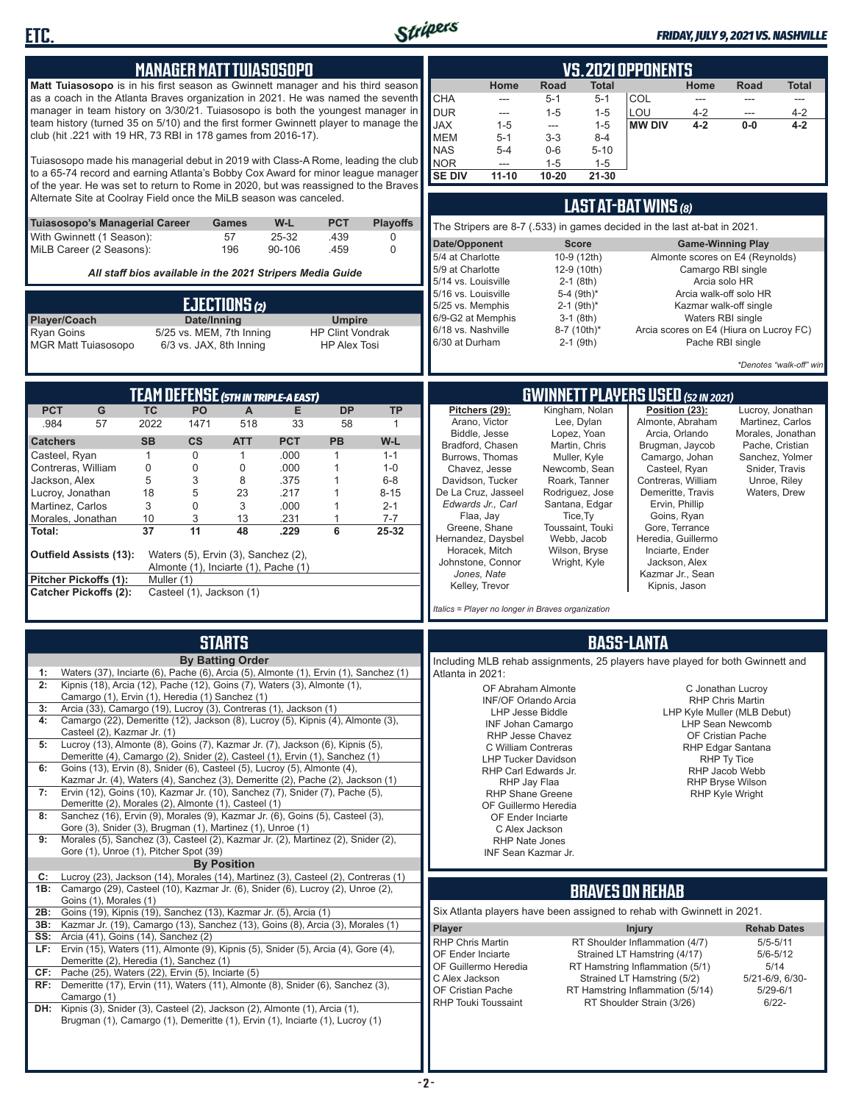

**ETC.**

#### *FRIDAY, JULY 9, 2021 VS. NASHVILLE*

|                                                                                                                                                                       |              |                          | <b>MANAGER MATT TUIASOSOPO</b>                                              |              |                                                |                     |                                         |                                                                               |                          |                                   | <b>VS. 2021 OPPONENTS</b>                                     |                                     |                                              |                         |
|-----------------------------------------------------------------------------------------------------------------------------------------------------------------------|--------------|--------------------------|-----------------------------------------------------------------------------|--------------|------------------------------------------------|---------------------|-----------------------------------------|-------------------------------------------------------------------------------|--------------------------|-----------------------------------|---------------------------------------------------------------|-------------------------------------|----------------------------------------------|-------------------------|
| Matt Tuiasosopo is in his first season as Gwinnett manager and his third season                                                                                       |              |                          |                                                                             |              |                                                |                     |                                         | Home                                                                          | Road                     | <b>Total</b>                      |                                                               | Home                                | Road                                         | <b>Total</b>            |
| as a coach in the Atlanta Braves organization in 2021. He was named the seventh                                                                                       |              |                          |                                                                             |              |                                                |                     | <b>CHA</b>                              | ---                                                                           | $5 - 1$                  | $5 - 1$                           | COL                                                           | $\overline{a}$                      | $-$                                          | $\cdots$                |
| manager in team history on 3/30/21. Tuiasosopo is both the youngest manager in<br>team history (turned 35 on 5/10) and the first former Gwinnett player to manage the |              |                          |                                                                             |              |                                                |                     | <b>DUR</b>                              | $---$                                                                         | $1 - 5$                  | $1 - 5$                           | LOU                                                           | $4 - 2$                             | ---                                          | $4 - 2$                 |
| club (hit .221 with 19 HR, 73 RBI in 178 games from 2016-17).                                                                                                         |              |                          |                                                                             |              |                                                |                     | <b>JAX</b><br><b>MEM</b>                | $1 - 5$<br>$5 - 1$                                                            | ---<br>$3-3$             | $1 - 5$<br>$8 - 4$                | <b>MW DIV</b>                                                 | $4 - 2$                             | $0-0$                                        | $4 - 2$                 |
|                                                                                                                                                                       |              |                          |                                                                             |              |                                                |                     | <b>NAS</b>                              | $5-4$                                                                         | $0-6$                    | $5 - 10$                          |                                                               |                                     |                                              |                         |
| Tuiasosopo made his managerial debut in 2019 with Class-A Rome, leading the club                                                                                      |              |                          |                                                                             |              |                                                |                     | <b>NOR</b>                              | $\frac{1}{2}$                                                                 | $1 - 5$                  | $1 - 5$                           |                                                               |                                     |                                              |                         |
| to a 65-74 record and earning Atlanta's Bobby Cox Award for minor league manager                                                                                      |              |                          |                                                                             |              |                                                |                     | <b>SE DIV</b>                           | $11 - 10$                                                                     | $10 - 20$                | $21 - 30$                         |                                                               |                                     |                                              |                         |
| of the year. He was set to return to Rome in 2020, but was reassigned to the Braves<br>Alternate Site at Coolray Field once the MiLB season was canceled.             |              |                          |                                                                             |              |                                                |                     |                                         |                                                                               |                          |                                   |                                                               |                                     |                                              |                         |
|                                                                                                                                                                       |              |                          |                                                                             |              |                                                |                     |                                         |                                                                               |                          |                                   | LAST AT-BAT WINS (8)                                          |                                     |                                              |                         |
| Tuiasosopo's Managerial Career                                                                                                                                        |              |                          | Games                                                                       | W-L          | <b>PCT</b>                                     | <b>Playoffs</b>     |                                         | The Stripers are 8-7 (.533) in games decided in the last at-bat in 2021.      |                          |                                   |                                                               |                                     |                                              |                         |
| 25-32<br>.439<br>With Gwinnett (1 Season):<br>57<br>$\mathbf 0$<br>MiLB Career (2 Seasons):<br>196<br>90-106<br>.459                                                  |              |                          |                                                                             |              | 0                                              | Date/Opponent       |                                         |                                                                               | <b>Score</b>             |                                   | <b>Game-Winning Play</b>                                      |                                     |                                              |                         |
|                                                                                                                                                                       |              |                          |                                                                             |              |                                                |                     | 5/4 at Charlotte                        |                                                                               |                          | 10-9 (12th)                       |                                                               |                                     | Almonte scores on E4 (Reynolds)              |                         |
|                                                                                                                                                                       |              |                          | All staff bios available in the 2021 Stripers Media Guide                   |              |                                                |                     | 5/9 at Charlotte<br>5/14 vs. Louisville |                                                                               |                          | 12-9 (10th)<br>$2-1$ (8th)        |                                                               | Camargo RBI single<br>Arcia solo HR |                                              |                         |
|                                                                                                                                                                       |              |                          |                                                                             |              |                                                | 5/16 vs. Louisville |                                         |                                                                               | 5-4 (9th)*               |                                   |                                                               | Arcia walk-off solo HR              |                                              |                         |
|                                                                                                                                                                       | EJECTIONS(2) |                          |                                                                             |              |                                                | 5/25 vs. Memphis    |                                         |                                                                               | $2-1$ (9th) <sup>*</sup> |                                   |                                                               | Kazmar walk-off single              |                                              |                         |
| Player/Coach                                                                                                                                                          |              | Date/Inning              |                                                                             |              | <b>Umpire</b>                                  |                     | 6/9-G2 at Memphis<br>6/18 vs. Nashville |                                                                               |                          | $3-1$ (8th)<br>8-7 (10th)*        |                                                               | Waters RBI single                   | Arcia scores on E4 (Hiura on Lucroy FC)      |                         |
| <b>Ryan Goins</b><br>MGR Matt Tuiasosopo                                                                                                                              |              | 6/3 vs. JAX, 8th Inning  | 5/25 vs. MEM, 7th Inning                                                    |              | <b>HP Clint Vondrak</b><br><b>HP Alex Tosi</b> |                     | 6/30 at Durham                          |                                                                               |                          | $2-1$ (9th)                       |                                                               | Pache RBI single                    |                                              |                         |
|                                                                                                                                                                       |              |                          |                                                                             |              |                                                |                     |                                         |                                                                               |                          |                                   |                                                               |                                     |                                              |                         |
|                                                                                                                                                                       |              |                          |                                                                             |              |                                                |                     |                                         |                                                                               |                          |                                   |                                                               |                                     |                                              | *Denotes "walk-off" win |
|                                                                                                                                                                       |              |                          | TEAM DEFENSE (5TH IN TRIPLE-A EAST)                                         |              |                                                |                     |                                         |                                                                               |                          |                                   | <b>GWINNETT PLAYERS USED (52 IN 2021)</b>                     |                                     |                                              |                         |
| <b>PCT</b><br>G                                                                                                                                                       | <b>TC</b>    | PO                       | $\mathsf{A}$                                                                | Е            | <b>DP</b>                                      | <b>TP</b>           |                                         | Pitchers (29):                                                                |                          | Kingham, Nolan                    | Position (23):                                                |                                     |                                              | Lucroy, Jonathan        |
| .984<br>57                                                                                                                                                            | 2022         | 1471                     | 518                                                                         | 33           | 58                                             | $\mathbf{1}$        |                                         | Arano, Victor                                                                 |                          | Lee, Dylan                        | Almonte, Abraham                                              |                                     |                                              | Martinez, Carlos        |
| <b>Catchers</b>                                                                                                                                                       | <b>SB</b>    | $\mathsf{cs}$            | <b>ATT</b>                                                                  | <b>PCT</b>   | <b>PB</b>                                      | W-L                 |                                         | Biddle, Jesse                                                                 |                          | Lopez, Yoan                       |                                                               | Arcia, Orlando                      | Morales, Jonathan                            | Pache, Cristian         |
| Casteel, Ryan                                                                                                                                                         | 1            | 0                        | $\mathbf{1}$                                                                | .000         | $\mathbf{1}$                                   | $1 - 1$             |                                         | Bradford, Chasen<br>Burrows, Thomas                                           |                          | Martin, Chris<br>Muller, Kyle     | Brugman, Jaycob<br>Camargo, Johan                             |                                     |                                              | Sanchez, Yolmer         |
| Contreras, William                                                                                                                                                    | 0            | 0                        | $\mathbf 0$                                                                 | .000         | $\mathbf{1}$                                   | $1 - 0$             |                                         | Chavez, Jesse                                                                 |                          | Newcomb, Sean                     | Casteel, Ryan                                                 |                                     |                                              | Snider, Travis          |
| Jackson, Alex                                                                                                                                                         | 5            | 3                        | 8                                                                           | .375         | $\mathbf{1}$                                   | $6-8$               |                                         | Davidson, Tucker                                                              |                          | Roark, Tanner                     | Contreras, William                                            |                                     | Unroe, Riley                                 |                         |
| Lucroy, Jonathan<br>Martinez, Carlos                                                                                                                                  | 18<br>3      | 5<br>0                   | 23<br>3                                                                     | .217<br>.000 | $\mathbf{1}$<br>$\mathbf{1}$                   | $8 - 15$<br>$2 - 1$ |                                         | De La Cruz, Jasseel<br>Edwards Jr., Carl                                      |                          | Rodriguez, Jose<br>Santana, Edgar | Demeritte, Travis                                             | Ervin, Phillip                      | Waters, Drew                                 |                         |
| Morales, Jonathan                                                                                                                                                     | 10           | 3                        | 13                                                                          | .231         | $\mathbf{1}$                                   | $7 - 7$             |                                         | Flaa, Jay                                                                     |                          | Tice, Ty                          |                                                               | Goins, Ryan                         |                                              |                         |
| Total:                                                                                                                                                                | 37           | 11                       | 48                                                                          | .229         | 6                                              | 25-32               |                                         | Greene, Shane                                                                 |                          | Toussaint, Touki                  | Gore, Terrance                                                |                                     |                                              |                         |
|                                                                                                                                                                       |              |                          |                                                                             |              |                                                |                     |                                         | Hernandez, Daysbel<br>Horacek, Mitch                                          |                          | Webb, Jacob<br>Wilson, Bryse      | Heredia, Guillermo<br>Inciarte, Ender                         |                                     |                                              |                         |
| <b>Outfield Assists (13):</b>                                                                                                                                         |              |                          | Waters (5), Ervin (3), Sanchez (2),<br>Almonte (1), Inciarte (1), Pache (1) |              |                                                |                     |                                         | Johnstone, Connor                                                             |                          | Wright, Kyle                      |                                                               | Jackson, Alex                       |                                              |                         |
| Pitcher Pickoffs (1):                                                                                                                                                 | Muller (1)   |                          |                                                                             |              |                                                |                     |                                         | Jones, Nate                                                                   |                          |                                   | Kazmar Jr., Sean                                              |                                     |                                              |                         |
| <b>Catcher Pickoffs (2):</b>                                                                                                                                          |              | Casteel (1), Jackson (1) |                                                                             |              |                                                |                     |                                         | Kelley, Trevor                                                                |                          |                                   | Kipnis, Jason                                                 |                                     |                                              |                         |
|                                                                                                                                                                       |              |                          |                                                                             |              |                                                |                     |                                         | Italics = Player no longer in Braves organization                             |                          |                                   |                                                               |                                     |                                              |                         |
|                                                                                                                                                                       |              |                          |                                                                             |              |                                                |                     |                                         |                                                                               |                          |                                   |                                                               |                                     |                                              |                         |
|                                                                                                                                                                       |              |                          | <b>STARTS</b>                                                               |              |                                                |                     |                                         |                                                                               |                          |                                   | <b>BASS-LANTA</b>                                             |                                     |                                              |                         |
| Waters (37), Inciarte (6), Pache (6), Arcia (5), Almonte (1), Ervin (1), Sanchez (1)                                                                                  |              |                          | <b>By Batting Order</b>                                                     |              |                                                |                     |                                         | Including MLB rehab assignments, 25 players have played for both Gwinnett and |                          |                                   |                                                               |                                     |                                              |                         |
| 1:<br>2:<br>Kipnis (18), Arcia (12), Pache (12), Goins (7), Waters (3), Almonte (1),                                                                                  |              |                          |                                                                             |              |                                                |                     | Atlanta in 2021:                        | OF Abraham Almonte                                                            |                          |                                   |                                                               |                                     |                                              |                         |
| Camargo (1), Ervin (1), Heredia (1) Sanchez (1)                                                                                                                       |              |                          |                                                                             |              |                                                |                     |                                         | <b>INF/OF Orlando Arcia</b>                                                   |                          |                                   |                                                               |                                     | C Jonathan Lucroy<br><b>RHP Chris Martin</b> |                         |
| Arcia (33), Camargo (19), Lucroy (3), Contreras (1), Jackson (1)<br>3:                                                                                                |              |                          |                                                                             |              |                                                |                     |                                         | LHP Jesse Biddle                                                              |                          |                                   |                                                               |                                     | LHP Kyle Muller (MLB Debut)                  |                         |
| Camargo (22), Demeritte (12), Jackson (8), Lucroy (5), Kipnis (4), Almonte (3),<br>4:<br>Casteel (2), Kazmar Jr. (1)                                                  |              |                          |                                                                             |              |                                                |                     |                                         | <b>INF Johan Camargo</b><br>RHP Jesse Chavez                                  |                          |                                   |                                                               |                                     | <b>LHP Sean Newcomb</b><br>OF Cristian Pache |                         |
| Lucroy (13), Almonte (8), Goins (7), Kazmar Jr. (7), Jackson (6), Kipnis (5),<br>5:                                                                                   |              |                          |                                                                             |              |                                                |                     |                                         | C William Contreras                                                           |                          |                                   |                                                               |                                     | RHP Edgar Santana                            |                         |
| Demeritte (4), Camargo (2), Snider (2), Casteel (1), Ervin (1), Sanchez (1)<br>Goins (13), Ervin (8), Snider (6), Casteel (5), Lucroy (5), Almonte (4),               |              |                          |                                                                             |              |                                                |                     |                                         | <b>LHP Tucker Davidson</b>                                                    |                          |                                   |                                                               |                                     | RHP Ty Tice                                  |                         |
| 6:<br>Kazmar Jr. (4), Waters (4), Sanchez (3), Demeritte (2), Pache (2), Jackson (1)                                                                                  |              |                          |                                                                             |              |                                                |                     |                                         | RHP Carl Edwards Jr.<br>RHP Jay Flaa                                          |                          |                                   |                                                               |                                     | RHP Jacob Webb<br><b>RHP Bryse Wilson</b>    |                         |
| Ervin (12), Goins (10), Kazmar Jr. (10), Sanchez (7), Snider (7), Pache (5),<br>7:                                                                                    |              |                          |                                                                             |              |                                                |                     |                                         | <b>RHP Shane Greene</b>                                                       |                          |                                   |                                                               |                                     | RHP Kyle Wright                              |                         |
| Demeritte (2), Morales (2), Almonte (1), Casteel (1)<br>Sanchez (16), Ervin (9), Morales (9), Kazmar Jr. (6), Goins (5), Casteel (3),<br>8:                           |              |                          |                                                                             |              |                                                |                     |                                         | OF Guillermo Heredia                                                          |                          |                                   |                                                               |                                     |                                              |                         |
| Gore (3), Snider (3), Brugman (1), Martinez (1), Unroe (1)                                                                                                            |              |                          |                                                                             |              |                                                |                     |                                         | OF Ender Inciarte<br>C Alex Jackson                                           |                          |                                   |                                                               |                                     |                                              |                         |
| Morales (5), Sanchez (3), Casteel (2), Kazmar Jr. (2), Martinez (2), Snider (2),<br>9:                                                                                |              |                          |                                                                             |              |                                                |                     |                                         | <b>RHP Nate Jones</b>                                                         |                          |                                   |                                                               |                                     |                                              |                         |
| Gore (1), Unroe (1), Pitcher Spot (39)                                                                                                                                |              |                          | <b>By Position</b>                                                          |              |                                                |                     |                                         | INF Sean Kazmar Jr.                                                           |                          |                                   |                                                               |                                     |                                              |                         |
| Lucroy (23), Jackson (14), Morales (14), Martinez (3), Casteel (2), Contreras (1)<br>C:                                                                               |              |                          |                                                                             |              |                                                |                     |                                         |                                                                               |                          |                                   |                                                               |                                     |                                              |                         |
| 1B: Camargo (29), Casteel (10), Kazmar Jr. (6), Snider (6), Lucroy (2), Unroe (2),                                                                                    |              |                          |                                                                             |              |                                                |                     |                                         |                                                                               |                          |                                   | <b>BRAVES ON REHAB</b>                                        |                                     |                                              |                         |
| Goins (1), Morales (1)<br><b>2B:</b> Goins (19), Kipnis (19), Sanchez (13), Kazmar Jr. (5), Arcia (1)                                                                 |              |                          |                                                                             |              |                                                |                     |                                         | Six Atlanta players have been assigned to rehab with Gwinnett in 2021.        |                          |                                   |                                                               |                                     |                                              |                         |
| Kazmar Jr. (19), Camargo (13), Sanchez (13), Goins (8), Arcia (3), Morales (1)<br>3B:                                                                                 |              |                          |                                                                             |              |                                                |                     | Player                                  |                                                                               |                          |                                   |                                                               |                                     | <b>Rehab Dates</b>                           |                         |
| <b>SS:</b> Arcia (41), Goins (14), Sanchez (2)                                                                                                                        |              |                          |                                                                             |              |                                                |                     | <b>RHP Chris Martin</b>                 |                                                                               |                          |                                   | <b>Injury</b><br>RT Shoulder Inflammation (4/7)               |                                     | $5/5 - 5/11$                                 |                         |
| LF: Ervin (15), Waters (11), Almonte (9), Kipnis (5), Snider (5), Arcia (4), Gore (4),                                                                                |              |                          |                                                                             |              |                                                |                     | OF Ender Inciarte                       |                                                                               |                          |                                   | Strained LT Hamstring (4/17)                                  |                                     | $5/6 - 5/12$                                 |                         |
| Demeritte (2), Heredia (1), Sanchez (1)<br>$CF:$ Pache (25), Waters (22), Ervin (5), Inciarte (5)                                                                     |              |                          |                                                                             |              |                                                |                     |                                         | OF Guillermo Heredia                                                          |                          |                                   | RT Hamstring Inflammation (5/1)                               |                                     | 5/14                                         |                         |
| RF: Demeritte (17), Ervin (11), Waters (11), Almonte (8), Snider (6), Sanchez (3),                                                                                    |              |                          |                                                                             |              |                                                |                     | C Alex Jackson                          |                                                                               |                          |                                   | Strained LT Hamstring (5/2)                                   |                                     | 5/21-6/9, 6/30-                              |                         |
| Camargo (1)                                                                                                                                                           |              |                          |                                                                             |              |                                                |                     | OF Cristian Pache                       | <b>RHP Touki Toussaint</b>                                                    |                          |                                   | RT Hamstring Inflammation (5/14)<br>RT Shoulder Strain (3/26) |                                     | $5/29 - 6/1$<br>$6/22 -$                     |                         |
| DH: Kipnis (3), Snider (3), Casteel (2), Jackson (2), Almonte (1), Arcia (1),<br>Brugman (1), Camargo (1), Demeritte (1), Ervin (1), Inciarte (1), Lucroy (1)         |              |                          |                                                                             |              |                                                |                     |                                         |                                                                               |                          |                                   |                                                               |                                     |                                              |                         |
|                                                                                                                                                                       |              |                          |                                                                             |              |                                                |                     |                                         |                                                                               |                          |                                   |                                                               |                                     |                                              |                         |
|                                                                                                                                                                       |              |                          |                                                                             |              |                                                |                     |                                         |                                                                               |                          |                                   |                                                               |                                     |                                              |                         |
|                                                                                                                                                                       |              |                          |                                                                             |              |                                                |                     |                                         |                                                                               |                          |                                   |                                                               |                                     |                                              |                         |
|                                                                                                                                                                       |              |                          |                                                                             |              |                                                |                     |                                         |                                                                               |                          |                                   |                                                               |                                     |                                              |                         |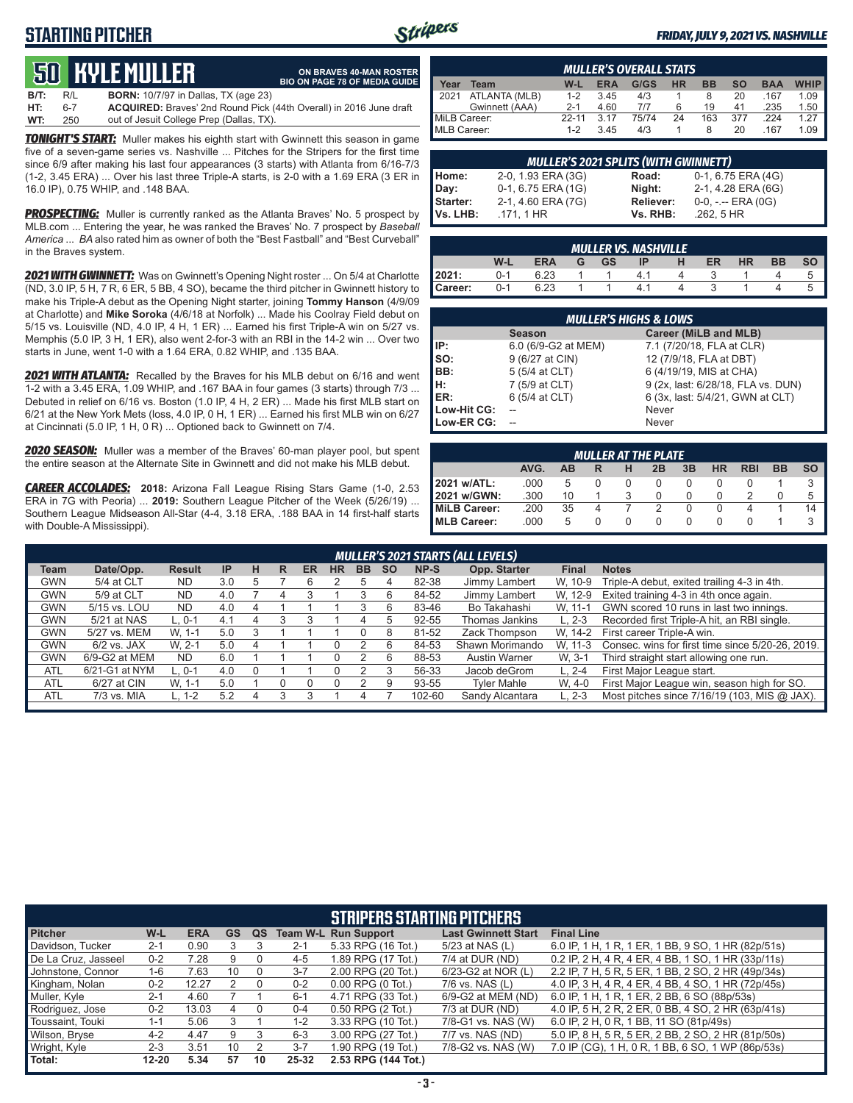### **STARTING PITCHER**



#### *FRIDAY, JULY 9, 2021 VS. NASHVILLE*

## **50****KYLE MULLER**

**ON BRAVES 40-MAN ROSTER BIO ON PAGE 78 OF MEDIA GUIDE**

**B/T:** R/L **BORN:** 10/7/97 in Dallas, TX (age 23) **HT:** 6-7 **ACQUIRED:** Braves' 2nd Round Pick (44th Overall) in 2016 June draft out of Jesuit College Prep (Dallas, TX)

*TONIGHT'S START:* Muller makes his eighth start with Gwinnett this season in game five of a seven-game series vs. Nashville ... Pitches for the Stripers for the first time since 6/9 after making his last four appearances (3 starts) with Atlanta from 6/16-7/3 (1-2, 3.45 ERA) ... Over his last three Triple-A starts, is 2-0 with a 1.69 ERA (3 ER in 16.0 IP), 0.75 WHIP, and .148 BAA.

**PROSPECTING:** Muller is currently ranked as the Atlanta Braves' No. 5 prospect by MLB.com ... Entering the year, he was ranked the Braves' No. 7 prospect by *Baseball America* ... *BA* also rated him as owner of both the "Best Fastball" and "Best Curveball" in the Braves system.

*2021 WITH GWINNETT:* Was on Gwinnett's Opening Night roster ... On 5/4 at Charlotte (ND, 3.0 IP, 5 H, 7 R, 6 ER, 5 BB, 4 SO), became the third pitcher in Gwinnett history to make his Triple-A debut as the Opening Night starter, joining **Tommy Hanson** (4/9/09 at Charlotte) and **Mike Soroka** (4/6/18 at Norfolk) ... Made his Coolray Field debut on 5/15 vs. Louisville (ND, 4.0 IP, 4 H, 1 ER) ... Earned his first Triple-A win on 5/27 vs. Memphis (5.0 IP, 3 H, 1 ER), also went 2-for-3 with an RBI in the 14-2 win ... Over two starts in June, went 1-0 with a 1.64 ERA, 0.82 WHIP, and .135 BAA.

*2021 WITH ATLANTA:* Recalled by the Braves for his MLB debut on 6/16 and went 1-2 with a 3.45 ERA, 1.09 WHIP, and .167 BAA in four games (3 starts) through 7/3 ... Debuted in relief on 6/16 vs. Boston (1.0 IP, 4 H, 2 ER) ... Made his first MLB start on 6/21 at the New York Mets (loss, 4.0 IP, 0 H, 1 ER) ... Earned his first MLB win on 6/27 at Cincinnati (5.0 IP, 1 H, 0 R) ... Optioned back to Gwinnett on 7/4.

*2020 SEASON:* Muller was a member of the Braves' 60-man player pool, but spent the entire season at the Alternate Site in Gwinnett and did not make his MLB debut.

*CAREER ACCOLADES:* **2018:** Arizona Fall League Rising Stars Game (1-0, 2.53 ERA in 7G with Peoria) ... **2019:** Southern League Pitcher of the Week (5/26/19) ... Southern League Midseason All-Star (4-4, 3.18 ERA, .188 BAA in 14 first-half starts with Double-A Mississippi).

| <b>MULLER'S OVERALL STATS</b>                                                                           |                |           |      |       |    |     |     |      |      |
|---------------------------------------------------------------------------------------------------------|----------------|-----------|------|-------|----|-----|-----|------|------|
| <b>HR</b><br>G/GS<br>$W-L$<br><b>ERA</b><br><b>BB</b><br><b>WHIP</b><br>SΟ<br><b>BAA</b><br>Team<br>ear |                |           |      |       |    |     |     |      |      |
| 12021                                                                                                   | ATLANTA (MLB)  | $1 - 2$   | 3.45 | 4/3   |    |     | 20  | .167 | 1.09 |
|                                                                                                         | Gwinnett (AAA) | $2 - 1$   | 4.60 | 717   |    | 19  | 41  | .235 | 1.50 |
| MiLB Career:                                                                                            |                | $22 - 11$ | 3.17 | 75/74 | 24 | 163 | 377 | 224  | 1 27 |
| MLB Career:                                                                                             |                | $1 - 2$   | 345  | 4/3   |    |     | 20  | 167  | 1.09 |

|                                       | <b>MULLER'S 2021 SPLITS (WITH GWINNETT)</b> |                  |                     |  |  |  |  |  |  |  |  |
|---------------------------------------|---------------------------------------------|------------------|---------------------|--|--|--|--|--|--|--|--|
|                                       | 2-0, 1.93 ERA (3G)                          | Road:            | 0-1, 6.75 ERA (4G)  |  |  |  |  |  |  |  |  |
|                                       | 0-1, 6.75 ERA (1G)                          | Night:           | 2-1, 4.28 ERA (6G)  |  |  |  |  |  |  |  |  |
|                                       | 2-1, 4.60 ERA (7G)                          | <b>Reliever:</b> | $0-0, - -$ ERA (0G) |  |  |  |  |  |  |  |  |
| Home:<br>Day:<br>Starter:<br>Vs. LHB: | .171, 1 HR                                  | Vs. RHB:         | $.262.5$ HR         |  |  |  |  |  |  |  |  |

|         | <b>MULLER VS. NASHVILLE</b> |            |   |    |    |   |    |           |           |           |  |  |
|---------|-----------------------------|------------|---|----|----|---|----|-----------|-----------|-----------|--|--|
|         | W-L                         | <b>ERA</b> | G | GS | IP | н | ER | <b>HR</b> | <b>BB</b> | <b>SO</b> |  |  |
| 2021:   | 0-1                         | 6.23       |   |    | 41 |   |    |           |           |           |  |  |
| Career: | በ-1                         | 6.23       |   |    |    |   |    |           |           |           |  |  |

|             | <b>MULLER'S HIGHS &amp; LOWS</b> |                                    |  |  |  |  |  |  |  |  |  |
|-------------|----------------------------------|------------------------------------|--|--|--|--|--|--|--|--|--|
|             | <b>Season</b>                    | Career (MiLB and MLB)              |  |  |  |  |  |  |  |  |  |
| IP:         | 6.0 (6/9-G2 at MEM)              | 7.1 (7/20/18, FLA at CLR)          |  |  |  |  |  |  |  |  |  |
| Iso:        | 9 (6/27 at CIN)                  | 12 (7/9/18, FLA at DBT)            |  |  |  |  |  |  |  |  |  |
| BB:         | 5 (5/4 at CLT)                   | 6 (4/19/19, MIS at CHA)            |  |  |  |  |  |  |  |  |  |
| IH:         | 7 (5/9 at CLT)                   | 9 (2x, last: 6/28/18, FLA vs. DUN) |  |  |  |  |  |  |  |  |  |
| <b>IER:</b> | 6 (5/4 at CLT)                   | 6 (3x, last: 5/4/21, GWN at CLT)   |  |  |  |  |  |  |  |  |  |
| Low-Hit CG: |                                  | Never                              |  |  |  |  |  |  |  |  |  |
| Low-ER CG:  |                                  | Never                              |  |  |  |  |  |  |  |  |  |

| <b>MULLER AT THE PLATE</b> |      |    |          |              |    |    |           |            |           |    |  |
|----------------------------|------|----|----------|--------------|----|----|-----------|------------|-----------|----|--|
|                            | AVG. | AB | R        | н            | 2B | 3B | <b>HR</b> | <b>RBI</b> | <b>BB</b> | SΟ |  |
| 2021 w/ATL:                | .000 | 5  | 0        |              |    | 0  |           |            |           | 3  |  |
| 2021 w/GWN:                | .300 | 10 |          | З            |    | O  | O         |            |           | 5  |  |
| MiLB Career:               | 200  | 35 |          |              |    | 0  | U         | 4          |           | 14 |  |
| MLB Career:                | .000 | 5  | $\Omega$ | $\mathbf{0}$ |    | O  | O         | $\cup$     |           | З  |  |

|                                                                                                                             | <b>MULLER'S 2021 STARTS (ALL LEVELS)</b> |               |     |   |   |           |           |           |           |        |                      |              |                                                  |
|-----------------------------------------------------------------------------------------------------------------------------|------------------------------------------|---------------|-----|---|---|-----------|-----------|-----------|-----------|--------|----------------------|--------------|--------------------------------------------------|
| Team                                                                                                                        | Date/Opp.                                | <b>Result</b> | IP  | н | R | <b>ER</b> | <b>HR</b> | <b>BB</b> | <b>SO</b> | NP-S   | Opp. Starter         | <b>Final</b> | <b>Notes</b>                                     |
| <b>GWN</b>                                                                                                                  | 5/4 at CLT                               | ND            | 3.0 | 5 |   | 6         |           | 5         |           | 82-38  | Jimmy Lambert        | W. 10-9      | Triple-A debut, exited trailing 4-3 in 4th.      |
| <b>GWN</b>                                                                                                                  | 5/9 at CLT                               | ND            | 4.0 |   | 4 |           |           |           | 6         | 84-52  | Jimmy Lambert        | W. 12-9      | Exited training 4-3 in 4th once again.           |
| GWN scored 10 runs in last two innings.<br><b>GWN</b><br>Bo Takahashi<br>5/15 vs. LOU<br>ND<br>83-46<br>W. 11-1<br>4.0<br>6 |                                          |               |     |   |   |           |           |           |           |        |                      |              |                                                  |
| <b>GWN</b>                                                                                                                  | 5/21 at NAS                              | $L, 0-1$      | 4.1 |   |   |           |           | 4         | ٠h        | 92-55  | Thomas Jankins       | $L. 2-3$     | Recorded first Triple-A hit, an RBI single.      |
| <b>GWN</b>                                                                                                                  | 5/27 vs. MEM                             | W. 1-1        | 5.0 |   |   |           |           | 0         | 8         | 81-52  | Zack Thompson        | W. 14-2      | First career Triple-A win.                       |
| <b>GWN</b>                                                                                                                  | $6/2$ vs. JAX                            | W. 2-1        | 5.0 |   |   |           |           |           | 6         | 84-53  | Shawn Morimando      | W. 11-3      | Consec. wins for first time since 5/20-26, 2019. |
| <b>GWN</b>                                                                                                                  | $6/9$ -G2 at MEM                         | <b>ND</b>     | 6.0 |   |   |           |           |           | 6         | 88-53  | <b>Austin Warner</b> | W. 3-1       | Third straight start allowing one run.           |
| <b>ATL</b>                                                                                                                  | 6/21-G1 at NYM                           | $L, 0-1$      | 4.0 |   |   |           |           |           |           | 56-33  | Jacob deGrom         | $L. 2 - 4$   | First Major League start.                        |
| <b>ATL</b>                                                                                                                  | 6/27 at CIN                              | W. 1-1        | 5.0 |   |   |           |           |           | 9         | 93-55  | <b>Tyler Mahle</b>   | W. 4-0       | First Major League win, season high for SO.      |
| <b>ATL</b>                                                                                                                  | 7/3 vs. MIA                              | L. 1-2        | 5.2 |   |   |           |           |           |           | 102-60 | Sandy Alcantara      | $L. 2-3$     | Most pitches since 7/16/19 (103, MIS @ JAX).     |
|                                                                                                                             |                                          |               |     |   |   |           |           |           |           |        |                      |              |                                                  |

|                     | <b>STRIPERS STARTING PITCHERS</b> |            |    |    |         |                               |                            |                                                    |  |  |  |
|---------------------|-----------------------------------|------------|----|----|---------|-------------------------------|----------------------------|----------------------------------------------------|--|--|--|
| <b>Pitcher</b>      | W-L                               | <b>ERA</b> | GS | QS |         | <b>Team W-L Run Support</b>   | <b>Last Gwinnett Start</b> | <b>Final Line</b>                                  |  |  |  |
| Davidson, Tucker    | $2 - 1$                           | 0.90       |    |    | $2 - 1$ | 5.33 RPG (16 Tot.)            | 5/23 at NAS (L)            | 6.0 IP, 1 H, 1 R, 1 ER, 1 BB, 9 SO, 1 HR (82p/51s) |  |  |  |
| De La Cruz, Jasseel | $0 - 2$                           | 7.28       |    |    | $4 - 5$ | 1.89 RPG (17 Tot.)            | 7/4 at DUR (ND)            | 0.2 IP, 2 H, 4 R, 4 ER, 4 BB, 1 SO, 1 HR (33p/11s) |  |  |  |
| Johnstone, Connor   | 1-6                               | 7.63       | 10 |    | $3 - 7$ | 2.00 RPG (20 Tot.)            | 6/23-G2 at NOR (L)         | 2.2 IP, 7 H, 5 R, 5 ER, 1 BB, 2 SO, 2 HR (49p/34s) |  |  |  |
| Kingham, Nolan      | $0 - 2$                           | 12.27      |    |    | $0 - 2$ | $0.00$ RPG $(0$ Tot.)         | 7/6 vs. NAS (L)            | 4.0 IP, 3 H, 4 R, 4 ER, 4 BB, 4 SO, 1 HR (72p/45s) |  |  |  |
| Muller, Kyle        | $2 - 1$                           | 4.60       |    |    | $6 - 1$ | 4.71 RPG (33 Tot.)            | 6/9-G2 at MEM (ND)         | 6.0 IP, 1 H, 1 R, 1 ER, 2 BB, 6 SO (88p/53s)       |  |  |  |
| Rodriguez, Jose     | $0 - 2$                           | 13.03      | 4  |    | $0 - 4$ | $0.50$ RPG $(2 \text{ Tot.})$ | 7/3 at DUR (ND)            | 4.0 IP, 5 H, 2 R, 2 ER, 0 BB, 4 SO, 2 HR (63p/41s) |  |  |  |
| Toussaint, Touki    | 1-1                               | 5.06       |    |    | $1 - 2$ | 3.33 RPG (10 Tot.)            | 7/8-G1 vs. NAS (W)         | 6.0 IP, 2 H, 0 R, 1 BB, 11 SO (81p/49s)            |  |  |  |
| Wilson, Bryse       | $4 - 2$                           | 4.47       | 9  |    | $6 - 3$ | 3.00 RPG (27 Tot.)            | 7/7 vs. NAS (ND)           | 5.0 IP, 8 H, 5 R, 5 ER, 2 BB, 2 SO, 2 HR (81p/50s) |  |  |  |
| Wright, Kyle        | $2 - 3$                           | 3.51       | 10 |    | $3 - 7$ | 1.90 RPG (19 Tot.)            | 7/8-G2 vs. NAS (W)         | 7.0 IP (CG), 1 H, 0 R, 1 BB, 6 SO, 1 WP (86p/53s)  |  |  |  |
| Total:              | $12 - 20$                         | 5.34       | 57 | 10 | 25-32   | 2.53 RPG (144 Tot.)           |                            |                                                    |  |  |  |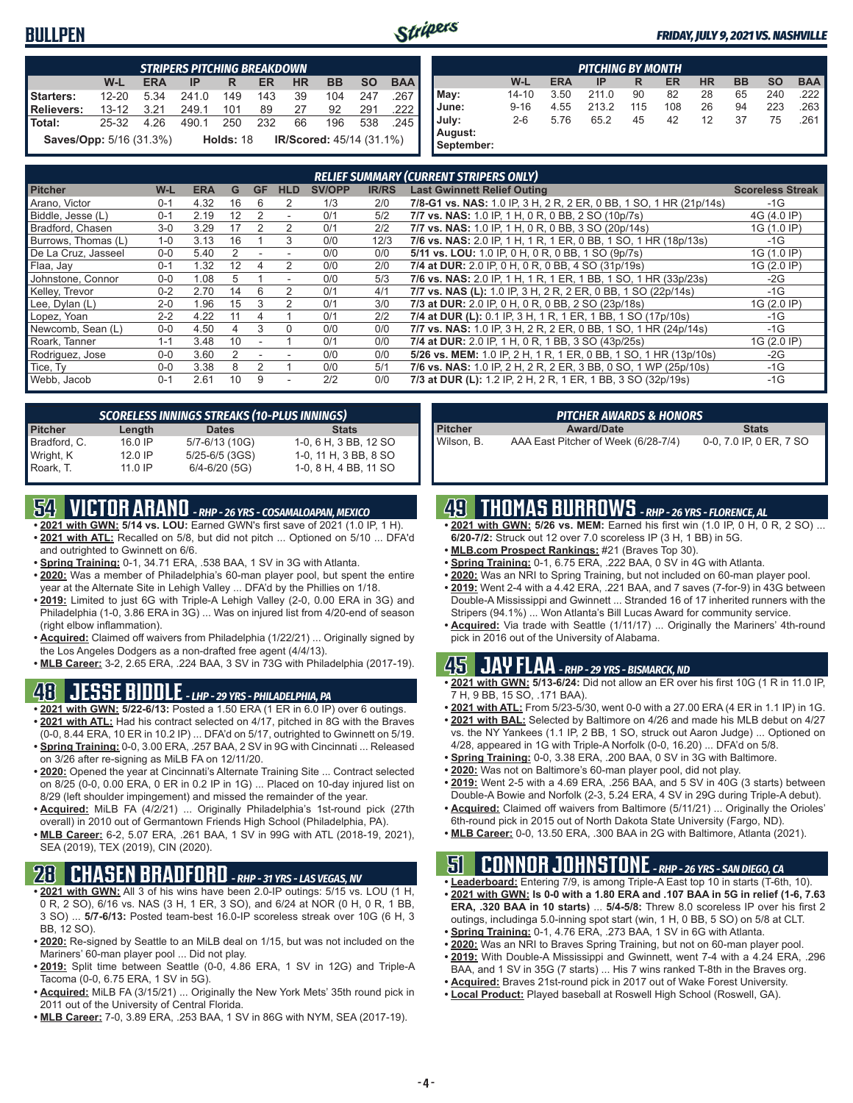#### **BULLPEN**



#### *FRIDAY, JULY 9, 2021 VS. NASHVILLE*

|                                | <b>STRIPERS PITCHING BREAKDOWN</b>                                                               |      |       |                  |     |    |                                 |     |         |  |  |  |  |
|--------------------------------|--------------------------------------------------------------------------------------------------|------|-------|------------------|-----|----|---------------------------------|-----|---------|--|--|--|--|
|                                | <b>BAA</b><br>$W-L$<br><b>SO</b><br><b>BB</b><br><b>HR</b><br><b>ERA</b><br><b>ER</b><br>IP<br>R |      |       |                  |     |    |                                 |     |         |  |  |  |  |
| Starters:                      | $12 - 20$                                                                                        | 5.34 | 241.0 | 149              | 143 | 39 | 104                             | 247 | ا 267.  |  |  |  |  |
| Relievers:                     | $13 - 12$                                                                                        | 3.21 | 249.1 | 101              | 89  | 27 | 92                              | 291 | .222    |  |  |  |  |
| l Total:                       | 25-32                                                                                            | 4 26 | 490.1 | 250              | 232 | 66 | 196                             | 538 | - 245 I |  |  |  |  |
| <b>Saves/Opp:</b> 5/16 (31.3%) |                                                                                                  |      |       | <b>Holds: 18</b> |     |    | <b>IR/Scored: 45/14 (31.1%)</b> |     |         |  |  |  |  |

|            | <b>PITCHING BY MONTH</b> |            |       |     |     |           |           |           |            |  |  |  |  |
|------------|--------------------------|------------|-------|-----|-----|-----------|-----------|-----------|------------|--|--|--|--|
|            | W-L                      | <b>ERA</b> | IP    | R   | ER  | <b>HR</b> | <b>BB</b> | <b>SO</b> | <b>BAA</b> |  |  |  |  |
| May:       | $14 - 10$                | 3.50       | 211.0 | 90  | 82  | 28        | 65        | 240       | .222 I     |  |  |  |  |
| June:      | $9 - 16$                 | 4.55       | 213.2 | 115 | 108 | 26        | 94        | 223       | .263       |  |  |  |  |
| July:      | $2 - 6$                  | 5.76       | 65.2  | 45  | 42  | 12        | 37        | 75        | .261       |  |  |  |  |
| August:    |                          |            |       |     |     |           |           |           |            |  |  |  |  |
| September: |                          |            |       |     |     |           |           |           |            |  |  |  |  |

|                     |         |            |    |           |                |               |              | <b>RELIEF SUMMARY (CURRENT STRIPERS ONLY)</b>                      |                         |
|---------------------|---------|------------|----|-----------|----------------|---------------|--------------|--------------------------------------------------------------------|-------------------------|
| <b>Pitcher</b>      | W-L     | <b>ERA</b> | G  | <b>GF</b> | <b>HLD</b>     | <b>SV/OPP</b> | <b>IR/RS</b> | <b>Last Gwinnett Relief Outing</b>                                 | <b>Scoreless Streak</b> |
| Arano, Victor       | $0 - 1$ | 4.32       | 16 | 6         | $\overline{2}$ | 1/3           | 2/0          | 7/8-G1 vs. NAS: 1.0 IP, 3 H, 2 R, 2 ER, 0 BB, 1 SO, 1 HR (21p/14s) | $-1G$                   |
| Biddle, Jesse (L)   | $0 - 1$ | 2.19       | 12 |           | ٠              | 0/1           | 5/2          | 7/7 vs. NAS: 1.0 IP, 1 H, 0 R, 0 BB, 2 SO (10p/7s)                 | 4G (4.0 IP)             |
| Bradford, Chasen    | $3-0$   | 3.29       | 17 |           | 2              | 0/1           | 2/2          | 7/7 vs. NAS: 1.0 IP, 1 H, 0 R, 0 BB, 3 SO (20p/14s)                | 1G (1.0 IP)             |
| Burrows, Thomas (L) | $1 - 0$ | 3.13       | 16 |           | 3              | 0/0           | 12/3         | 7/6 vs. NAS: 2.0 IP, 1 H, 1 R, 1 ER, 0 BB, 1 SO, 1 HR (18p/13s)    | $-1G$                   |
| De La Cruz, Jasseel | $0 - 0$ | 5.40       |    |           |                | 0/0           | 0/0          | 5/11 vs. LOU: 1.0 IP, 0 H, 0 R, 0 BB, 1 SO (9p/7s)                 | 1G (1.0 IP)             |
| Flaa, Jay           | $0 - 1$ | 1.32       | 12 |           | $\overline{2}$ | 0/0           | 2/0          | 7/4 at DUR: 2.0 IP, 0 H, 0 R, 0 BB, 4 SO (31p/19s)                 | 1G (2.0 IP)             |
| Johnstone, Connor   | $0 - 0$ | 1.08       | 5  |           |                | 0/0           | 5/3          | 7/6 vs. NAS: 2.0 IP, 1 H, 1 R, 1 ER, 1 BB, 1 SO, 1 HR (33p/23s)    | $-2G$                   |
| Kelley, Trevor      | $0 - 2$ | 2.70       | 14 | 6         |                | 0/1           | 4/1          | 7/7 vs. NAS (L): 1.0 IP, 3 H, 2 R, 2 ER, 0 BB, 1 SO (22p/14s)      | $-1G$                   |
| Lee, Dylan (L)      | $2 - 0$ | 1.96       | 15 |           |                | 0/1           | 3/0          | 7/3 at DUR: 2.0 IP, 0 H, 0 R, 0 BB, 2 SO (23p/18s)                 | 1G (2.0 IP)             |
| Lopez, Yoan         | $2 - 2$ | 4.22       | 11 |           |                | 0/1           | 2/2          | 7/4 at DUR (L): 0.1 IP, 3 H, 1 R, 1 ER, 1 BB, 1 SO (17p/10s)       | $-1G$                   |
| Newcomb, Sean (L)   | $0 - 0$ | 4.50       | 4  | 3         | $\Omega$       | 0/0           | 0/0          | 7/7 vs. NAS: 1.0 IP, 3 H, 2 R, 2 ER, 0 BB, 1 SO, 1 HR (24p/14s)    | $-1G$                   |
| Roark, Tanner       | $1 - 1$ | 3.48       | 10 |           |                | 0/1           | 0/0          | 7/4 at DUR: 2.0 IP, 1 H, 0 R, 1 BB, 3 SO (43p/25s)                 | 1G (2.0 IP)             |
| Rodriguez, Jose     | $0 - 0$ | 3.60       |    |           |                | 0/0           | 0/0          | 5/26 vs. MEM: 1.0 IP, 2 H, 1 R, 1 ER, 0 BB, 1 SO, 1 HR (13p/10s)   | -2G                     |
| Tice, Ty            | $0 - 0$ | 3.38       | 8  |           |                | 0/0           | 5/1          | 7/6 vs. NAS: 1.0 IP, 2 H, 2 R, 2 ER, 3 BB, 0 SO, 1 WP (25p/10s)    | $-1G$                   |
| Webb, Jacob         | $0 - 1$ | 2.61       | 10 | 9         |                | 2/2           | 0/0          | 7/3 at DUR (L): 1.2 IP, 2 H, 2 R, 1 ER, 1 BB, 3 SO (32p/19s)       | $-1G$                   |

|                | <b>SCORELESS INNINGS STREAKS (10-PLUS INNINGS)</b> |                    |                       |  |  |  |  |  |  |  |  |
|----------------|----------------------------------------------------|--------------------|-----------------------|--|--|--|--|--|--|--|--|
| <b>Pitcher</b> | Length                                             | <b>Dates</b>       | <b>Stats</b>          |  |  |  |  |  |  |  |  |
| Bradford, C.   | 16.0 IP                                            | 5/7-6/13 (10G)     | 1-0, 6 H, 3 BB, 12 SO |  |  |  |  |  |  |  |  |
| Wright, K      | 12.0 IP                                            | $5/25 - 6/5$ (3GS) | 1-0, 11 H, 3 BB, 8 SO |  |  |  |  |  |  |  |  |
| Roark, T.      | $11.0$ IP                                          | $6/4 - 6/20$ (5G)  | 1-0, 8 H, 4 BB, 11 SO |  |  |  |  |  |  |  |  |

### **54 VICTOR ARANO** *- RHP - 26 YRS - COSAMALOAPAN, MEXICO*

- **• 2021 with GWN: 5/14 vs. LOU:** Earned GWN's first save of 2021 (1.0 IP, 1 H). **• 2021 with ATL:** Recalled on 5/8, but did not pitch ... Optioned on 5/10 ... DFA'd and outrighted to Gwinnett on 6/6.
- **• Spring Training:** 0-1, 34.71 ERA, .538 BAA, 1 SV in 3G with Atlanta.
- **• 2020:** Was a member of Philadelphia's 60-man player pool, but spent the entire year at the Alternate Site in Lehigh Valley ... DFA'd by the Phillies on 1/18.
- **• 2019:** Limited to just 6G with Triple-A Lehigh Valley (2-0, 0.00 ERA in 3G) and Philadelphia (1-0, 3.86 ERA in 3G) ... Was on injured list from 4/20-end of season (right elbow inflammation).
- **• Acquired:** Claimed off waivers from Philadelphia (1/22/21) ... Originally signed by the Los Angeles Dodgers as a non-drafted free agent (4/4/13).
- **• MLB Career:** 3-2, 2.65 ERA, .224 BAA, 3 SV in 73G with Philadelphia (2017-19).

#### **48 JESSE BIDDLE** *- LHP - 29 YRS - PHILADELPHIA, PA*

- **• 2021 with GWN: 5/22-6/13:** Posted a 1.50 ERA (1 ER in 6.0 IP) over 6 outings. **• 2021 with ATL:** Had his contract selected on 4/17, pitched in 8G with the Braves (0-0, 8.44 ERA, 10 ER in 10.2 IP) ... DFA'd on 5/17, outrighted to Gwinnett on 5/19.
- **• Spring Training:** 0-0, 3.00 ERA, .257 BAA, 2 SV in 9G with Cincinnati ... Released on 3/26 after re-signing as MiLB FA on 12/11/20.
- **• 2020:** Opened the year at Cincinnati's Alternate Training Site ... Contract selected on 8/25 (0-0, 0.00 ERA, 0 ER in 0.2 IP in 1G) ... Placed on 10-day injured list on 8/29 (left shoulder impingement) and missed the remainder of the year.
- **• Acquired:** MiLB FA (4/2/21) ... Originally Philadelphia's 1st-round pick (27th overall) in 2010 out of Germantown Friends High School (Philadelphia, PA).
- **• MLB Career:** 6-2, 5.07 ERA, .261 BAA, 1 SV in 99G with ATL (2018-19, 2021), SEA (2019), TEX (2019), CIN (2020).

### **28 CHASEN BRADFORD** *- RHP - 31 YRS - LAS VEGAS, NV*

- **• 2021 with GWN:** All 3 of his wins have been 2.0-IP outings: 5/15 vs. LOU (1 H, 0 R, 2 SO), 6/16 vs. NAS (3 H, 1 ER, 3 SO), and 6/24 at NOR (0 H, 0 R, 1 BB, 3 SO) ... **5/7-6/13:** Posted team-best 16.0-IP scoreless streak over 10G (6 H, 3 BB, 12 SO).
- **• 2020:** Re-signed by Seattle to an MiLB deal on 1/15, but was not included on the Mariners' 60-man player pool ... Did not play.
- **• 2019:** Split time between Seattle (0-0, 4.86 ERA, 1 SV in 12G) and Triple-A Tacoma (0-0, 6.75 ERA, 1 SV in 5G).
- **• Acquired:** MiLB FA (3/15/21) ... Originally the New York Mets' 35th round pick in 2011 out of the University of Central Florida.
- **• MLB Career:** 7-0, 3.89 ERA, .253 BAA, 1 SV in 86G with NYM, SEA (2017-19).

|                | <b>PITCHER AWARDS &amp; HONORS</b>  |                         |
|----------------|-------------------------------------|-------------------------|
| <b>Pitcher</b> | <b>Award/Date</b>                   | <b>Stats</b>            |
| Wilson. B.     | AAA East Pitcher of Week (6/28-7/4) | 0-0, 7.0 IP, 0 ER, 7 SO |

#### **49 THOMAS BURROWS** *- RHP - 26 YRS - FLORENCE, AL*

- **• 2021 with GWN: 5/26 vs. MEM:** Earned his first win (1.0 IP, 0 H, 0 R, 2 SO) ... **6/20-7/2:** Struck out 12 over 7.0 scoreless IP (3 H, 1 BB) in 5G.
- **• MLB.com Prospect Rankings:** #21 (Braves Top 30).
- **• Spring Training:** 0-1, 6.75 ERA, .222 BAA, 0 SV in 4G with Atlanta.
- **• 2020:** Was an NRI to Spring Training, but not included on 60-man player pool.
- **• 2019:** Went 2-4 with a 4.42 ERA, .221 BAA, and 7 saves (7-for-9) in 43G between Double-A Mississippi and Gwinnett ... Stranded 16 of 17 inherited runners with the Stripers (94.1%) ... Won Atlanta's Bill Lucas Award for community service.
- **• Acquired:** Via trade with Seattle (1/11/17) ... Originally the Mariners' 4th-round pick in 2016 out of the University of Alabama.

#### **45 JAY FLAA** *- RHP - 29 YRS - BISMARCK, ND*

- **• 2021 with GWN: 5/13-6/24:** Did not allow an ER over his first 10G (1 R in 11.0 IP, 7 H, 9 BB, 15 SO, .171 BAA).
- **• 2021 with ATL:** From 5/23-5/30, went 0-0 with a 27.00 ERA (4 ER in 1.1 IP) in 1G.
- **• 2021 with BAL:** Selected by Baltimore on 4/26 and made his MLB debut on 4/27 vs. the NY Yankees (1.1 IP, 2 BB, 1 SO, struck out Aaron Judge) ... Optioned on 4/28, appeared in 1G with Triple-A Norfolk (0-0, 16.20) ... DFA'd on 5/8.
- **• Spring Training:** 0-0, 3.38 ERA, .200 BAA, 0 SV in 3G with Baltimore.
- **• 2020:** Was not on Baltimore's 60-man player pool, did not play.
- **• 2019:** Went 2-5 with a 4.69 ERA, .256 BAA, and 5 SV in 40G (3 starts) between Double-A Bowie and Norfolk (2-3, 5.24 ERA, 4 SV in 29G during Triple-A debut).
- **• Acquired:** Claimed off waivers from Baltimore (5/11/21) ... Originally the Orioles' 6th-round pick in 2015 out of North Dakota State University (Fargo, ND).
- **• MLB Career:** 0-0, 13.50 ERA, .300 BAA in 2G with Baltimore, Atlanta (2021).

## **51 CONNOR JOHNSTONE** *- RHP - 26 YRS - SAN DIEGO, CA*

- **• Leaderboard:** Entering 7/9, is among Triple-A East top 10 in starts (T-6th, 10). **• 2021 with GWN: Is 0-0 with a 1.80 ERA and .107 BAA in 5G in relief (1-6, 7.63 ERA, .320 BAA in 10 starts)** ... **5/4-5/8:** Threw 8.0 scoreless IP over his first 2 outings, includinga 5.0-inning spot start (win, 1 H, 0 BB, 5 SO) on 5/8 at CLT.
- **• Spring Training:** 0-1, 4.76 ERA, .273 BAA, 1 SV in 6G with Atlanta.
- **• 2020:** Was an NRI to Braves Spring Training, but not on 60-man player pool.
- **• 2019:** With Double-A Mississippi and Gwinnett, went 7-4 with a 4.24 ERA, .296
- BAA, and 1 SV in 35G (7 starts) ... His 7 wins ranked T-8th in the Braves org.
- **• Acquired:** Braves 21st-round pick in 2017 out of Wake Forest University.
- **• Local Product:** Played baseball at Roswell High School (Roswell, GA).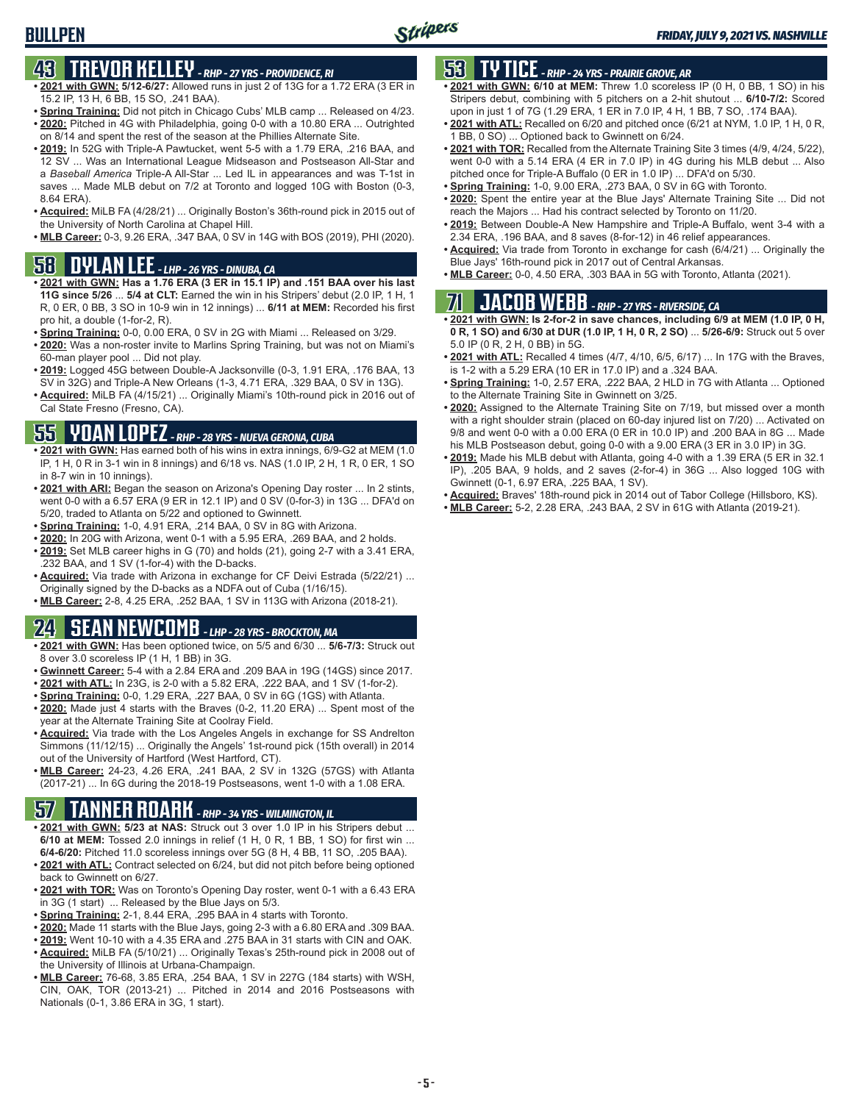## **43 TREVOR KELLEY** *- RHP - 27 YRS - PROVIDENCE, RI*

- **• 2021 with GWN: 5/12-6/27:** Allowed runs in just 2 of 13G for a 1.72 ERA (3 ER in 15.2 IP, 13 H, 6 BB, 15 SO, .241 BAA).
- **• Spring Training:** Did not pitch in Chicago Cubs' MLB camp ... Released on 4/23. **• 2020:** Pitched in 4G with Philadelphia, going 0-0 with a 10.80 ERA ... Outrighted
- on 8/14 and spent the rest of the season at the Phillies Alternate Site. **• 2019:** In 52G with Triple-A Pawtucket, went 5-5 with a 1.79 ERA, .216 BAA, and
- 12 SV ... Was an International League Midseason and Postseason All-Star and a *Baseball America* Triple-A All-Star ... Led IL in appearances and was T-1st in saves ... Made MLB debut on 7/2 at Toronto and logged 10G with Boston (0-3, 8.64 ERA).
- **• Acquired:** MiLB FA (4/28/21) ... Originally Boston's 36th-round pick in 2015 out of the University of North Carolina at Chapel Hill.
- **• MLB Career:** 0-3, 9.26 ERA, .347 BAA, 0 SV in 14G with BOS (2019), PHI (2020).

#### **58 DYLAN LEE** *- LHP - 26 YRS - DINUBA, CA*

- **• 2021 with GWN: Has a 1.76 ERA (3 ER in 15.1 IP) and .151 BAA over his last 11G since 5/26** ... **5/4 at CLT:** Earned the win in his Stripers' debut (2.0 IP, 1 H, 1 R, 0 ER, 0 BB, 3 SO in 10-9 win in 12 innings) ... **6/11 at MEM:** Recorded his first pro hit, a double (1-for-2, R).
- **• Spring Training:** 0-0, 0.00 ERA, 0 SV in 2G with Miami ... Released on 3/29.
- **• 2020:** Was a non-roster invite to Marlins Spring Training, but was not on Miami's 60-man player pool ... Did not play.
- **• 2019:** Logged 45G between Double-A Jacksonville (0-3, 1.91 ERA, .176 BAA, 13 SV in 32G) and Triple-A New Orleans (1-3, 4.71 ERA, .329 BAA, 0 SV in 13G).
- **• Acquired:** MiLB FA (4/15/21) ... Originally Miami's 10th-round pick in 2016 out of Cal State Fresno (Fresno, CA).

### **55 YOAN LOPEZ** *- RHP - 28 YRS - NUEVA GERONA, CUBA*

- **• 2021 with GWN:** Has earned both of his wins in extra innings, 6/9-G2 at MEM (1.0 IP, 1 H, 0 R in 3-1 win in 8 innings) and 6/18 vs. NAS (1.0 IP, 2 H, 1 R, 0 ER, 1 SO in 8-7 win in 10 innings).
- **• 2021 with ARI:** Began the season on Arizona's Opening Day roster ... In 2 stints, went 0-0 with a 6.57 ERA (9 ER in 12.1 IP) and 0 SV (0-for-3) in 13G ... DFA'd on 5/20, traded to Atlanta on 5/22 and optioned to Gwinnett.
- **• Spring Training:** 1-0, 4.91 ERA, .214 BAA, 0 SV in 8G with Arizona.
- **• 2020:** In 20G with Arizona, went 0-1 with a 5.95 ERA, .269 BAA, and 2 holds.
- **• 2019:** Set MLB career highs in G (70) and holds (21), going 2-7 with a 3.41 ERA, .232 BAA, and 1 SV (1-for-4) with the D-backs.
- **• Acquired:** Via trade with Arizona in exchange for CF Deivi Estrada (5/22/21) ... Originally signed by the D-backs as a NDFA out of Cuba (1/16/15).
- **• MLB Career:** 2-8, 4.25 ERA, .252 BAA, 1 SV in 113G with Arizona (2018-21).

## **24 SEAN NEWCOMB** *- LHP - 28 YRS - BROCKTON, MA*

- **• 2021 with GWN:** Has been optioned twice, on 5/5 and 6/30 ... **5/6-7/3:** Struck out 8 over 3.0 scoreless IP (1 H, 1 BB) in 3G.
- **• Gwinnett Career:** 5-4 with a 2.84 ERA and .209 BAA in 19G (14GS) since 2017.
- **• 2021 with ATL:** In 23G, is 2-0 with a 5.82 ERA, .222 BAA, and 1 SV (1-for-2).
- **• Spring Training:** 0-0, 1.29 ERA, .227 BAA, 0 SV in 6G (1GS) with Atlanta.
- **• 2020:** Made just 4 starts with the Braves (0-2, 11.20 ERA) ... Spent most of the year at the Alternate Training Site at Coolray Field.
- **• Acquired:** Via trade with the Los Angeles Angels in exchange for SS Andrelton Simmons (11/12/15) ... Originally the Angels' 1st-round pick (15th overall) in 2014 out of the University of Hartford (West Hartford, CT).
- **• MLB Career:** 24-23, 4.26 ERA, .241 BAA, 2 SV in 132G (57GS) with Atlanta (2017-21) ... In 6G during the 2018-19 Postseasons, went 1-0 with a 1.08 ERA.

## **57 TANNER ROARK** *- RHP - 34 YRS - WILMINGTON, IL*

- **• 2021 with GWN: 5/23 at NAS:** Struck out 3 over 1.0 IP in his Stripers debut ... **6/10 at MEM:** Tossed 2.0 innings in relief (1 H, 0 R, 1 BB, 1 SO) for first win ... **6/4-6/20:** Pitched 11.0 scoreless innings over 5G (8 H, 4 BB, 11 SO, .205 BAA).
- **• 2021 with ATL:** Contract selected on 6/24, but did not pitch before being optioned back to Gwinnett on 6/27.
- **• 2021 with TOR:** Was on Toronto's Opening Day roster, went 0-1 with a 6.43 ERA in 3G (1 start) ... Released by the Blue Jays on 5/3.
- **• Spring Training:** 2-1, 8.44 ERA, .295 BAA in 4 starts with Toronto.
- **• 2020:** Made 11 starts with the Blue Jays, going 2-3 with a 6.80 ERA and .309 BAA.
- **• 2019:** Went 10-10 with a 4.35 ERA and .275 BAA in 31 starts with CIN and OAK. **• Acquired:** MiLB FA (5/10/21) ... Originally Texas's 25th-round pick in 2008 out of the University of Illinois at Urbana-Champaign.
- **• MLB Career:** 76-68, 3.85 ERA, .254 BAA, 1 SV in 227G (184 starts) with WSH, CIN, OAK, TOR (2013-21) ... Pitched in 2014 and 2016 Postseasons with Nationals (0-1, 3.86 ERA in 3G, 1 start).

### **53 TY TICE** *- RHP - 24 YRS - PRAIRIE GROVE, AR*

- **• 2021 with GWN: 6/10 at MEM:** Threw 1.0 scoreless IP (0 H, 0 BB, 1 SO) in his Stripers debut, combining with 5 pitchers on a 2-hit shutout ... **6/10-7/2:** Scored upon in just 1 of 7G (1.29 ERA, 1 ER in 7.0 IP, 4 H, 1 BB, 7 SO, .174 BAA).
- **• 2021 with ATL:** Recalled on 6/20 and pitched once (6/21 at NYM, 1.0 IP, 1 H, 0 R, 1 BB, 0 SO) ... Optioned back to Gwinnett on 6/24.
- **• 2021 with TOR:** Recalled from the Alternate Training Site 3 times (4/9, 4/24, 5/22), went 0-0 with a 5.14 ERA (4 ER in 7.0 IP) in 4G during his MLB debut ... Also pitched once for Triple-A Buffalo (0 ER in 1.0 IP) ... DFA'd on 5/30.
- **• Spring Training:** 1-0, 9.00 ERA, .273 BAA, 0 SV in 6G with Toronto.
- **• 2020:** Spent the entire year at the Blue Jays' Alternate Training Site ... Did not reach the Majors ... Had his contract selected by Toronto on 11/20.
- **• 2019:** Between Double-A New Hampshire and Triple-A Buffalo, went 3-4 with a 2.34 ERA, .196 BAA, and 8 saves (8-for-12) in 46 relief appearances.
- **• Acquired:** Via trade from Toronto in exchange for cash (6/4/21) ... Originally the Blue Jays' 16th-round pick in 2017 out of Central Arkansas.
- **• MLB Career:** 0-0, 4.50 ERA, .303 BAA in 5G with Toronto, Atlanta (2021).

## **71 JACOB WEBB** *- RHP - 27 YRS - RIVERSIDE, CA*

**• 2021 with GWN: Is 2-for-2 in save chances, including 6/9 at MEM (1.0 IP, 0 H, 0 R, 1 SO) and 6/30 at DUR (1.0 IP, 1 H, 0 R, 2 SO)** ... **5/26-6/9:** Struck out 5 over 5.0 IP (0 R, 2 H, 0 BB) in 5G.

- **• 2021 with ATL:** Recalled 4 times (4/7, 4/10, 6/5, 6/17) ... In 17G with the Braves, is 1-2 with a 5.29 ERA (10 ER in 17.0 IP) and a .324 BAA.
- **• Spring Training:** 1-0, 2.57 ERA, .222 BAA, 2 HLD in 7G with Atlanta ... Optioned to the Alternate Training Site in Gwinnett on 3/25.
- **• 2020:** Assigned to the Alternate Training Site on 7/19, but missed over a month with a right shoulder strain (placed on 60-day injured list on 7/20) ... Activated on 9/8 and went 0-0 with a 0.00 ERA (0 ER in 10.0 IP) and .200 BAA in 8G ... Made his MLB Postseason debut, going 0-0 with a 9.00 ERA (3 ER in 3.0 IP) in 3G.
- **• 2019:** Made his MLB debut with Atlanta, going 4-0 with a 1.39 ERA (5 ER in 32.1 IP), .205 BAA, 9 holds, and 2 saves (2-for-4) in 36G ... Also logged 10G with Gwinnett (0-1, 6.97 ERA, .225 BAA, 1 SV).
- **• Acquired:** Braves' 18th-round pick in 2014 out of Tabor College (Hillsboro, KS).
- **• MLB Career:** 5-2, 2.28 ERA, .243 BAA, 2 SV in 61G with Atlanta (2019-21).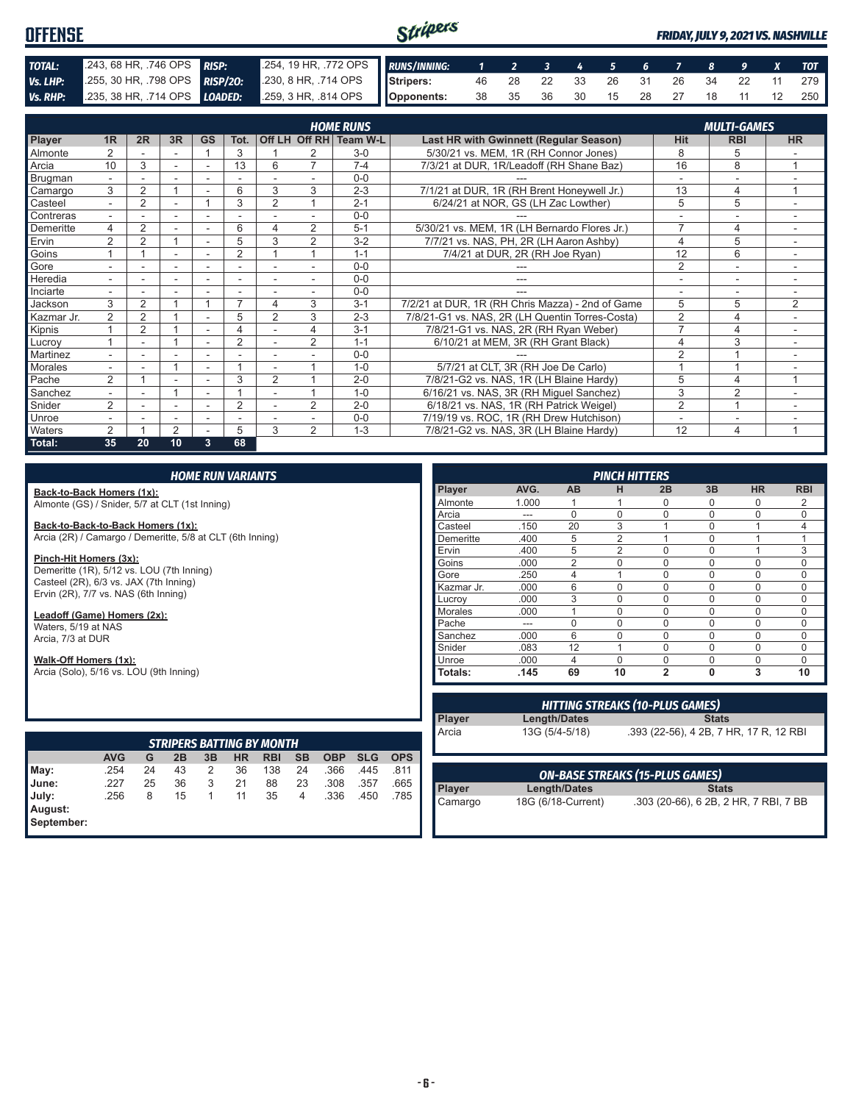#### Stripers **OFFENSE** *FRIDAY, JULY 9, 2021 VS. NASHVILLE TOTAL:* .243, 68 HR, .746 OPS *RISP:* .254, 19 HR, .772 OPS *RUNS/INNING: 1 2 3 4 5 6 7 8 9 X TOT Vs. LHP:* .255, 30 HR, .798 OPS *RISP/2O:* .230, 8 HR, .714 OPS **Stripers:** 46 28 22 33 26 31 26 34 22 11 279 *Vs. RHP:* .235, 38 HR, .714 OPS *LOADED:* .259, 3 HR, .814 OPS **Opponents:** 38 35 36 30 15 28 27 18 11 12 250

|               | <b>HOME RUNS</b>         |                |                          |                          |                          |                |                |                        |                                                  |                          |                          |                |
|---------------|--------------------------|----------------|--------------------------|--------------------------|--------------------------|----------------|----------------|------------------------|--------------------------------------------------|--------------------------|--------------------------|----------------|
|               |                          |                |                          |                          |                          |                |                |                        |                                                  |                          | <b>MULTI-GAMES</b>       |                |
| <b>Player</b> | 1R                       | 2R             | 3R                       | <b>GS</b>                | Tot.                     |                |                | Off LH Off RH Team W-L | Last HR with Gwinnett (Regular Season)           | <b>Hit</b>               | <b>RBI</b>               | <b>HR</b>      |
| Almonte       | 2                        |                |                          |                          | 3                        |                |                | $3-0$                  | 5/30/21 vs. MEM, 1R (RH Connor Jones)            | 8                        | 5                        |                |
| Arcia         | 10                       | 3              |                          |                          | 13                       | 6              | $\overline{7}$ | $7 - 4$                | 7/3/21 at DUR, 1R/Leadoff (RH Shane Baz)         | 16                       | 8                        | 1              |
| Brugman       | $\overline{\phantom{0}}$ | -              | $\overline{\phantom{0}}$ | $\overline{\phantom{a}}$ | $\overline{\phantom{a}}$ |                |                | $0 - 0$                |                                                  |                          | ۰                        |                |
| Camargo       | 3                        | $\overline{2}$ |                          |                          | 6                        | 3              | 3              | $2 - 3$                | 7/1/21 at DUR, 1R (RH Brent Honeywell Jr.)       | 13                       | $\overline{4}$           | $\overline{ }$ |
| Casteel       | ۰.                       | $\overline{2}$ |                          |                          | 3                        | $\overline{2}$ |                | $2 - 1$                | 6/24/21 at NOR, GS (LH Zac Lowther)              | 5                        | 5                        |                |
| Contreras     |                          |                |                          |                          |                          |                |                | $0 - 0$                |                                                  |                          | $\overline{\phantom{a}}$ |                |
| Demeritte     | 4                        | 2              |                          | ۰                        | 6                        | 4              | 2              | $5 - 1$                | 5/30/21 vs. MEM, 1R (LH Bernardo Flores Jr.)     | 7                        | $\overline{4}$           | ٠              |
| Ervin         | $\overline{2}$           | $\overline{2}$ |                          |                          | 5                        | 3              | 2              | $3 - 2$                | 7/7/21 vs. NAS, PH, 2R (LH Aaron Ashby)          | $\overline{4}$           | 5                        |                |
| Goins         |                          |                |                          |                          | $\overline{2}$           |                |                | $1 - 1$                | 7/4/21 at DUR, 2R (RH Joe Ryan)                  | 12                       | 6                        |                |
| Gore          |                          |                | $\overline{\phantom{0}}$ |                          | $\overline{\phantom{0}}$ |                |                | $0 - 0$                |                                                  | 2                        | $\overline{\phantom{a}}$ |                |
| Heredia       | $\overline{a}$           |                |                          |                          |                          |                |                | $0 - 0$                |                                                  |                          |                          |                |
| Inciarte      | ۰.                       | ۰              | $\overline{\phantom{0}}$ | ۰                        | $\overline{\phantom{a}}$ |                | ٠              | $0 - 0$                |                                                  | $\overline{\phantom{0}}$ | $\overline{\phantom{a}}$ | ٠              |
| Jackson       | 3                        | $\overline{2}$ |                          |                          | ⇁                        | 4              | 3              | $3 - 1$                | 7/2/21 at DUR, 1R (RH Chris Mazza) - 2nd of Game | 5                        | 5                        | 2              |
| Kazmar Jr.    | 2                        | 2              |                          |                          | 5                        | $\overline{2}$ | 3              | $2 - 3$                | 7/8/21-G1 vs. NAS, 2R (LH Quentin Torres-Costa)  | 2                        | $\overline{4}$           |                |
| Kipnis        |                          | $\overline{2}$ |                          |                          | 4                        |                | 4              | $3 - 1$                | 7/8/21-G1 vs. NAS, 2R (RH Ryan Weber)            | 7                        | 4                        | ۰.             |
| Lucroy        |                          | -              |                          | $\overline{\phantom{a}}$ | $\overline{2}$           |                | $\overline{2}$ | $1 - 1$                | 6/10/21 at MEM, 3R (RH Grant Black)              | $\overline{4}$           | 3                        | ۰.             |
| Martinez      |                          |                |                          |                          | -                        |                |                | $0 - 0$                |                                                  | $\overline{2}$           |                          |                |
| Morales       |                          |                |                          |                          |                          |                |                | $1 - 0$                | 5/7/21 at CLT, 3R (RH Joe De Carlo)              |                          |                          |                |
| Pache         | 2                        |                | ۰                        |                          | 3                        | $\overline{2}$ |                | $2 - 0$                | 7/8/21-G2 vs. NAS, 1R (LH Blaine Hardy)          | 5                        | 4                        |                |
| Sanchez       | $\blacksquare$           |                |                          |                          |                          |                |                | $1 - 0$                | 6/16/21 vs. NAS, 3R (RH Miquel Sanchez)          | 3                        | $\overline{2}$           |                |
| Snider        | 2                        |                |                          | ٠                        | $\overline{2}$           |                | 2              | $2 - 0$                | 6/18/21 vs. NAS, 1R (RH Patrick Weigel)          | $\overline{2}$           |                          |                |
| Unroe         |                          |                |                          |                          |                          |                |                | $0 - 0$                | 7/19/19 vs. ROC, 1R (RH Drew Hutchison)          |                          |                          |                |
| <b>Waters</b> | $\mathfrak{D}$           |                | $\overline{2}$           |                          | 5                        | 3              | 2              | $1 - 3$                | 7/8/21-G2 vs. NAS, 3R (LH Blaine Hardy)          | 12                       | $\overline{4}$           |                |
| Total:        | 35                       | 20             | 10                       | 3                        | 68                       |                |                |                        |                                                  |                          |                          |                |

**Back-to-Back Homers (1x):** Almonte (GS) / Snider, 5/7 at CLT (1st Inning)

**Back-to-Back-to-Back Homers (1x):**

Arcia (2R) / Camargo / Demeritte, 5/8 at CLT (6th Inning)

**Pinch-Hit Homers (3x):** Demeritte (1R), 5/12 vs. LOU (7th Inning) Casteel (2R), 6/3 vs. JAX (7th Inning) Ervin (2R), 7/7 vs. NAS (6th Inning)

**Leadoff (Game) Homers (2x):** Waters, 5/19 at NAS

Arcia, 7/3 at DUR

#### **Walk-Off Homers (1x):**

Arcia (Solo), 5/16 vs. LOU (9th Inning)

| <b>STRIPERS BATTING BY MONTH</b> |            |    |    |    |    |            |           |            |            |            |
|----------------------------------|------------|----|----|----|----|------------|-----------|------------|------------|------------|
|                                  | <b>AVG</b> | G  | 2B | 3B | HR | <b>RBI</b> | <b>SB</b> | <b>OBP</b> | <b>SLG</b> | <b>OPS</b> |
| May:                             | .254       | 24 | 43 | 2  | 36 | 138        | 24        | .366       | .445       | .811       |
| June:                            | .227       | 25 | 36 | 3  | 21 | 88         | 23        | .308       | .357       | .665       |
| July:                            | .256       | 8  | 15 |    | 11 | 35         | 4         | .336       | .450       | .785       |
| August:<br>September:            |            |    |    |    |    |            |           |            |            |            |

| <b>PINCH HITTERS</b> |       |                |                |                |          |             |             |
|----------------------|-------|----------------|----------------|----------------|----------|-------------|-------------|
| <b>Player</b>        | AVG.  | AB             | н              | 2B             | 3B       | <b>HR</b>   | <b>RBI</b>  |
| Almonte              | 1.000 |                |                | 0              | 0        | 0           | 2           |
| Arcia                | ---   | $\Omega$       | $\Omega$       | $\Omega$       | $\Omega$ | $\Omega$    | $\Omega$    |
| Casteel              | .150  | 20             | 3              | 1              | 0        |             | 4           |
| Demeritte            | .400  | 5              | $\overline{2}$ | 1              | 0        |             | 1           |
| Ervin                | .400  | 5              | $\overline{2}$ | $\Omega$       | $\Omega$ | 1           | 3           |
| Goins                | .000  | $\overline{2}$ | $\Omega$       | 0              | 0        | $\Omega$    | 0           |
| Gore                 | .250  | 4              | 1              | 0              | 0        | 0           | 0           |
| Kazmar Jr.           | .000  | 6              | $\Omega$       | $\Omega$       | 0        | $\Omega$    | $\Omega$    |
| Lucrov               | .000  | 3              | $\Omega$       | $\mathbf 0$    | 0        | $\mathbf 0$ | $\mathbf 0$ |
| <b>Morales</b>       | .000  |                | 0              | 0              | 0        | $\mathbf 0$ | $\Omega$    |
| Pache                | ---   | $\Omega$       | $\Omega$       | $\Omega$       | $\Omega$ | $\Omega$    | $\Omega$    |
| Sanchez              | .000  | 6              | $\Omega$       | $\mathbf 0$    | $\Omega$ | $\Omega$    | 0           |
| Snider               | .083  | 12             | 1              | $\Omega$       | 0        | $\Omega$    | $\Omega$    |
| Unroe                | .000  | 4              | $\Omega$       | $\Omega$       | 0        | $\Omega$    | $\Omega$    |
| Totals:              | .145  | 69             | 10             | $\overline{2}$ | 0        | 3           | 10          |

| <b>HITTING STREAKS (10-PLUS GAMES)</b> |                |                                        |  |  |
|----------------------------------------|----------------|----------------------------------------|--|--|
| Player<br>Arcia                        | Length/Dates   | <b>Stats</b>                           |  |  |
|                                        | 13G (5/4-5/18) | .393 (22-56), 4 2B, 7 HR, 17 R, 12 RBI |  |  |

| <b>ON-BASE STREAKS (15-PLUS GAMES)</b> |                    |                                       |  |  |  |
|----------------------------------------|--------------------|---------------------------------------|--|--|--|
|                                        | Length/Dates       | <b>Stats</b>                          |  |  |  |
| Player<br>Camargo                      | 18G (6/18-Current) | .303 (20-66), 6 2B, 2 HR, 7 RBI, 7 BB |  |  |  |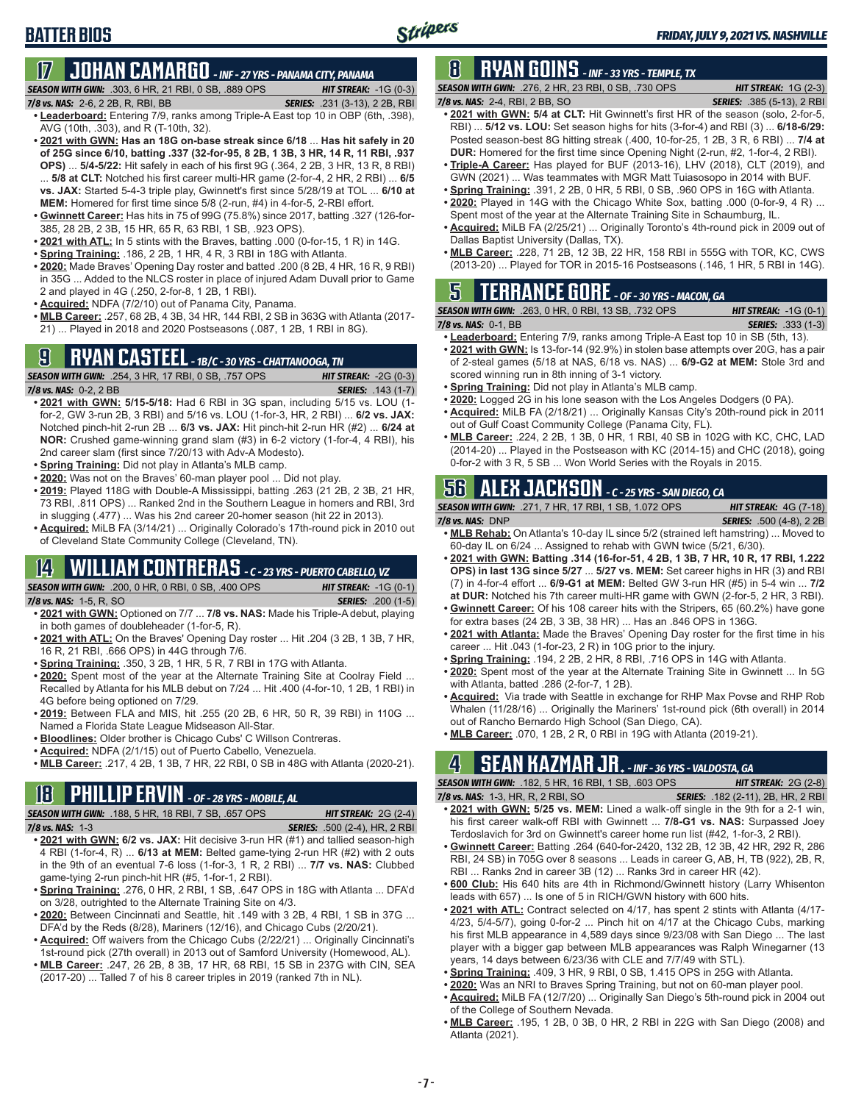## **17 JOHAN CAMARGO** *- INF - 27 YRS - PANAMA CITY, PANAMA*

*SEASON WITH GWN:*.303, 6 HR, 21 RBI, 0 SB, .889 OPS *HIT STREAK:* -1G (0-3)

*7/8 vs. NAS:* 2-6, 2 2B, R, RBI, BB *SERIES:* .231 (3-13), 2 2B, RBI

**BATTER BIOS**

- **• Leaderboard:** Entering 7/9, ranks among Triple-A East top 10 in OBP (6th, .398), AVG (10th, .303), and R (T-10th, 32).
- **• 2021 with GWN: Has an 18G on-base streak since 6/18** ... **Has hit safely in 20 of 25G since 6/10, batting .337 (32-for-95, 8 2B, 1 3B, 3 HR, 14 R, 11 RBI, .937 OPS)** ... **5/4-5/22:** Hit safely in each of his first 9G (.364, 2 2B, 3 HR, 13 R, 8 RBI) ... **5/8 at CLT:** Notched his first career multi-HR game (2-for-4, 2 HR, 2 RBI) ... **6/5 vs. JAX:** Started 5-4-3 triple play, Gwinnett's first since 5/28/19 at TOL ... **6/10 at**
- **MEM:** Homered for first time since 5/8 (2-run, #4) in 4-for-5, 2-RBI effort. **• Gwinnett Career:** Has hits in 75 of 99G (75.8%) since 2017, batting .327 (126-for-
- 385, 28 2B, 2 3B, 15 HR, 65 R, 63 RBI, 1 SB, .923 OPS).
- **• 2021 with ATL:** In 5 stints with the Braves, batting .000 (0-for-15, 1 R) in 14G.
- **• Spring Training:** .186, 2 2B, 1 HR, 4 R, 3 RBI in 18G with Atlanta.
- **• 2020:** Made Braves' Opening Day roster and batted .200 (8 2B, 4 HR, 16 R, 9 RBI) in 35G ... Added to the NLCS roster in place of injured Adam Duvall prior to Game 2 and played in 4G (.250, 2-for-8, 1 2B, 1 RBI).
- **• Acquired:** NDFA (7/2/10) out of Panama City, Panama.
- **• MLB Career:** .257, 68 2B, 4 3B, 34 HR, 144 RBI, 2 SB in 363G with Atlanta (2017- 21) ... Played in 2018 and 2020 Postseasons (.087, 1 2B, 1 RBI in 8G).

## **9 RYAN CASTEEL** *- 1B/C - 30 YRS - CHATTANOOGA, TN*

*SEASON WITH GWN:*.254, 3 HR, 17 RBI, 0 SB, .757 OPS *HIT STREAK:* -2G (0-3) *7/8 vs. NAS:*0-2, 2 BB *SERIES:* .143 (1-7)

- **• 2021 with GWN: 5/15-5/18:** Had 6 RBI in 3G span, including 5/15 vs. LOU (1 for-2, GW 3-run 2B, 3 RBI) and 5/16 vs. LOU (1-for-3, HR, 2 RBI) ... **6/2 vs. JAX:** Notched pinch-hit 2-run 2B ... **6/3 vs. JAX:** Hit pinch-hit 2-run HR (#2) ... **6/24 at NOR:** Crushed game-winning grand slam (#3) in 6-2 victory (1-for-4, 4 RBI), his 2nd career slam (first since 7/20/13 with Adv-A Modesto).
- **• Spring Training:** Did not play in Atlanta's MLB camp.
- **• 2020:** Was not on the Braves' 60-man player pool ... Did not play.
- **• 2019:** Played 118G with Double-A Mississippi, batting .263 (21 2B, 2 3B, 21 HR, 73 RBI, .811 OPS) ... Ranked 2nd in the Southern League in homers and RBI, 3rd in slugging (.477) ... Was his 2nd career 20-homer season (hit 22 in 2013).
- **• Acquired:** MiLB FA (3/14/21) ... Originally Colorado's 17th-round pick in 2010 out of Cleveland State Community College (Cleveland, TN).

## **14 WILLIAM CONTRERAS** *- C - 23 YRS - PUERTO CABELLO, VZ*

*SEASON WITH GWN:*.200, 0 HR, 0 RBI, 0 SB, .400 OPS *HIT STREAK:* -1G (0-1)

- *7/8 vs. NAS:*1-5, R, SO *SERIES:* .200 (1-5)
- **• 2021 with GWN:** Optioned on 7/7 ... **7/8 vs. NAS:** Made his Triple-A debut, playing in both games of doubleheader (1-for-5, R).
- **• 2021 with ATL:** On the Braves' Opening Day roster ... Hit .204 (3 2B, 1 3B, 7 HR, 16 R, 21 RBI, .666 OPS) in 44G through 7/6.
- **• Spring Training:** .350, 3 2B, 1 HR, 5 R, 7 RBI in 17G with Atlanta.
- **• 2020:** Spent most of the year at the Alternate Training Site at Coolray Field ... Recalled by Atlanta for his MLB debut on 7/24 ... Hit .400 (4-for-10, 1 2B, 1 RBI) in 4G before being optioned on 7/29.
- **• 2019:** Between FLA and MIS, hit .255 (20 2B, 6 HR, 50 R, 39 RBI) in 110G ... Named a Florida State League Midseason All-Star.
- **• Bloodlines:** Older brother is Chicago Cubs' C Willson Contreras.
- **• Acquired:** NDFA (2/1/15) out of Puerto Cabello, Venezuela.
- **• MLB Career:** .217, 4 2B, 1 3B, 7 HR, 22 RBI, 0 SB in 48G with Atlanta (2020-21).

## **18 PHILLIP ERVIN** *- OF - 28 YRS - MOBILE, AL*

*SEASON WITH GWN:*.188, 5 HR, 18 RBI, 7 SB, .657 OPS *HIT STREAK:* 2G (2-4)

*7/8 vs. NAS:*1-3 *SERIES:* .500 (2-4), HR, 2 RBI

- **• 2021 with GWN: 6/2 vs. JAX:** Hit decisive 3-run HR (#1) and tallied season-high 4 RBI (1-for-4, R) ... **6/13 at MEM:** Belted game-tying 2-run HR (#2) with 2 outs in the 9th of an eventual 7-6 loss (1-for-3, 1 R, 2 RBI) ... **7/7 vs. NAS:** Clubbed game-tying 2-run pinch-hit HR (#5, 1-for-1, 2 RBI).
- **• Spring Training:** .276, 0 HR, 2 RBI, 1 SB, .647 OPS in 18G with Atlanta ... DFA'd on 3/28, outrighted to the Alternate Training Site on 4/3.
- **• 2020:** Between Cincinnati and Seattle, hit .149 with 3 2B, 4 RBI, 1 SB in 37G ... DFA'd by the Reds (8/28), Mariners (12/16), and Chicago Cubs (2/20/21).
- **• Acquired:** Off waivers from the Chicago Cubs (2/22/21) ... Originally Cincinnati's 1st-round pick (27th overall) in 2013 out of Samford University (Homewood, AL).
- **• MLB Career:** .247, 26 2B, 8 3B, 17 HR, 68 RBI, 15 SB in 237G with CIN, SEA (2017-20) ... Talled 7 of his 8 career triples in 2019 (ranked 7th in NL).

## **8 RYAN GOINS** *- INF - 33 YRS - TEMPLE, TX*

*SEASON WITH GWN:*.276, 2 HR, 23 RBI, 0 SB, .730 OPS *HIT STREAK:* 1G (2-3) *7/8 vs. NAS:*2-4, RBI, 2 BB, SO *SERIES:* .385 (5-13), 2 RBI

- **• 2021 with GWN: 5/4 at CLT:** Hit Gwinnett's first HR of the season (solo, 2-for-5, RBI) ... **5/12 vs. LOU:** Set season highs for hits (3-for-4) and RBI (3) ... **6/18-6/29:** Posted season-best 8G hitting streak (.400, 10-for-25, 1 2B, 3 R, 6 RBI) ... **7/4 at DUR:** Homered for the first time since Opening Night (2-run, #2, 1-for-4, 2 RBI).
- **• Triple-A Career:** Has played for BUF (2013-16), LHV (2018), CLT (2019), and GWN (2021) ... Was teammates with MGR Matt Tuiasosopo in 2014 with BUF.
- **• Spring Training:** .391, 2 2B, 0 HR, 5 RBI, 0 SB, .960 OPS in 16G with Atlanta.
- **• 2020:** Played in 14G with the Chicago White Sox, batting .000 (0-for-9, 4 R) ... Spent most of the year at the Alternate Training Site in Schaumburg, IL.
- **• Acquired:** MiLB FA (2/25/21) ... Originally Toronto's 4th-round pick in 2009 out of Dallas Baptist University (Dallas, TX).
- **• MLB Career:** .228, 71 2B, 12 3B, 22 HR, 158 RBI in 555G with TOR, KC, CWS (2013-20) ... Played for TOR in 2015-16 Postseasons (.146, 1 HR, 5 RBI in 14G).

### **5 TERRANCE GORE** *- OF - 30 YRS - MACON, GA*

*SEASON WITH GWN:*.263, 0 HR, 0 RBI, 13 SB, .732 OPS *HIT STREAK:* -1G (0-1) *7/8 vs. NAS:*0-1, BB *SERIES:* .333 (1-3)

- **• Leaderboard:** Entering 7/9, ranks among Triple-A East top 10 in SB (5th, 13). **• 2021 with GWN:** Is 13-for-14 (92.9%) in stolen base attempts over 20G, has a pair of 2-steal games (5/18 at NAS, 6/18 vs. NAS) ... **6/9-G2 at MEM:** Stole 3rd and
- scored winning run in 8th inning of 3-1 victory.
- **• Spring Training:** Did not play in Atlanta's MLB camp.
- **• 2020:** Logged 2G in his lone season with the Los Angeles Dodgers (0 PA). **• Acquired:** MiLB FA (2/18/21) ... Originally Kansas City's 20th-round pick in 2011 out of Gulf Coast Community College (Panama City, FL).
- **• MLB Career:** .224, 2 2B, 1 3B, 0 HR, 1 RBI, 40 SB in 102G with KC, CHC, LAD (2014-20) ... Played in the Postseason with KC (2014-15) and CHC (2018), going 0-for-2 with 3 R, 5 SB ... Won World Series with the Royals in 2015.

## **56 ALEX JACKSON** *- C - 25 YRS - SAN DIEGO, CA*

| <b>SEASON WITH GWN:</b> .271, 7 HR, 17 RBI, 1 SB, 1.072 OPS | <b>HIT STREAK:</b> $4G$ (7-18)  |
|-------------------------------------------------------------|---------------------------------|
| $7/8$ vs. NAS: $DNP$                                        | <b>SERIES:</b> .500 (4-8), 2 2B |

- **• MLB Rehab:** On Atlanta's 10-day IL since 5/2 (strained left hamstring) ... Moved to 60-day IL on 6/24 ... Assigned to rehab with GWN twice (5/21, 6/30).
- **• 2021 with GWN: Batting .314 (16-for-51, 4 2B, 1 3B, 7 HR, 10 R, 17 RBI, 1.222 OPS) in last 13G since 5/27** ... **5/27 vs. MEM:** Set career highs in HR (3) and RBI (7) in 4-for-4 effort ... **6/9-G1 at MEM:** Belted GW 3-run HR (#5) in 5-4 win ... **7/2 at DUR:** Notched his 7th career multi-HR game with GWN (2-for-5, 2 HR, 3 RBI).
- **• Gwinnett Career:** Of his 108 career hits with the Stripers, 65 (60.2%) have gone for extra bases (24 2B, 3 3B, 38 HR) ... Has an .846 OPS in 136G.
- **• 2021 with Atlanta:** Made the Braves' Opening Day roster for the first time in his career ... Hit .043 (1-for-23, 2 R) in 10G prior to the injury.
- **• Spring Training:** .194, 2 2B, 2 HR, 8 RBI, .716 OPS in 14G with Atlanta.
- **• 2020:** Spent most of the year at the Alternate Training Site in Gwinnett ... In 5G with Atlanta, batted .286 (2-for-7, 1 2B).
- **• Acquired:** Via trade with Seattle in exchange for RHP Max Povse and RHP Rob Whalen (11/28/16) ... Originally the Mariners' 1st-round pick (6th overall) in 2014 out of Rancho Bernardo High School (San Diego, CA).
- **• MLB Career:** .070, 1 2B, 2 R, 0 RBI in 19G with Atlanta (2019-21).

### **4 SEAN KAZMAR JR.** *- INF - 36 YRS - VALDOSTA, GA*

*SEASON WITH GWN:*.182, 5 HR, 16 RBI, 1 SB, .603 OPS *HIT STREAK:* 2G (2-8)

- *7/8 vs. NAS:*1-3, HR, R, 2 RBI, SO *SERIES:* .182 (2-11), 2B, HR, 2 RBI **• 2021 with GWN: 5/25 vs. MEM:** Lined a walk-off single in the 9th for a 2-1 win, his first career walk-off RBI with Gwinnett ... **7/8-G1 vs. NAS:** Surpassed Joey Terdoslavich for 3rd on Gwinnett's career home run list (#42, 1-for-3, 2 RBI).
	- **• Gwinnett Career:** Batting .264 (640-for-2420, 132 2B, 12 3B, 42 HR, 292 R, 286 RBI, 24 SB) in 705G over 8 seasons ... Leads in career G, AB, H, TB (922), 2B, R, RBI ... Ranks 2nd in career 3B (12) ... Ranks 3rd in career HR (42).
	- **• 600 Club:** His 640 hits are 4th in Richmond/Gwinnett history (Larry Whisenton leads with 657) ... Is one of 5 in RICH/GWN history with 600 hits.
	- **• 2021 with ATL:** Contract selected on 4/17, has spent 2 stints with Atlanta (4/17- 4/23, 5/4-5/7), going 0-for-2 ... Pinch hit on 4/17 at the Chicago Cubs, marking his first MLB appearance in 4,589 days since 9/23/08 with San Diego ... The last player with a bigger gap between MLB appearances was Ralph Winegarner (13 years, 14 days between 6/23/36 with CLE and 7/7/49 with STL).
	- **• Spring Training:** .409, 3 HR, 9 RBI, 0 SB, 1.415 OPS in 25G with Atlanta.
	- **• 2020:** Was an NRI to Braves Spring Training, but not on 60-man player pool.
	- **• Acquired:** MiLB FA (12/7/20) ... Originally San Diego's 5th-round pick in 2004 out of the College of Southern Nevada.
- **• MLB Career:** .195, 1 2B, 0 3B, 0 HR, 2 RBI in 22G with San Diego (2008) and Atlanta (2021).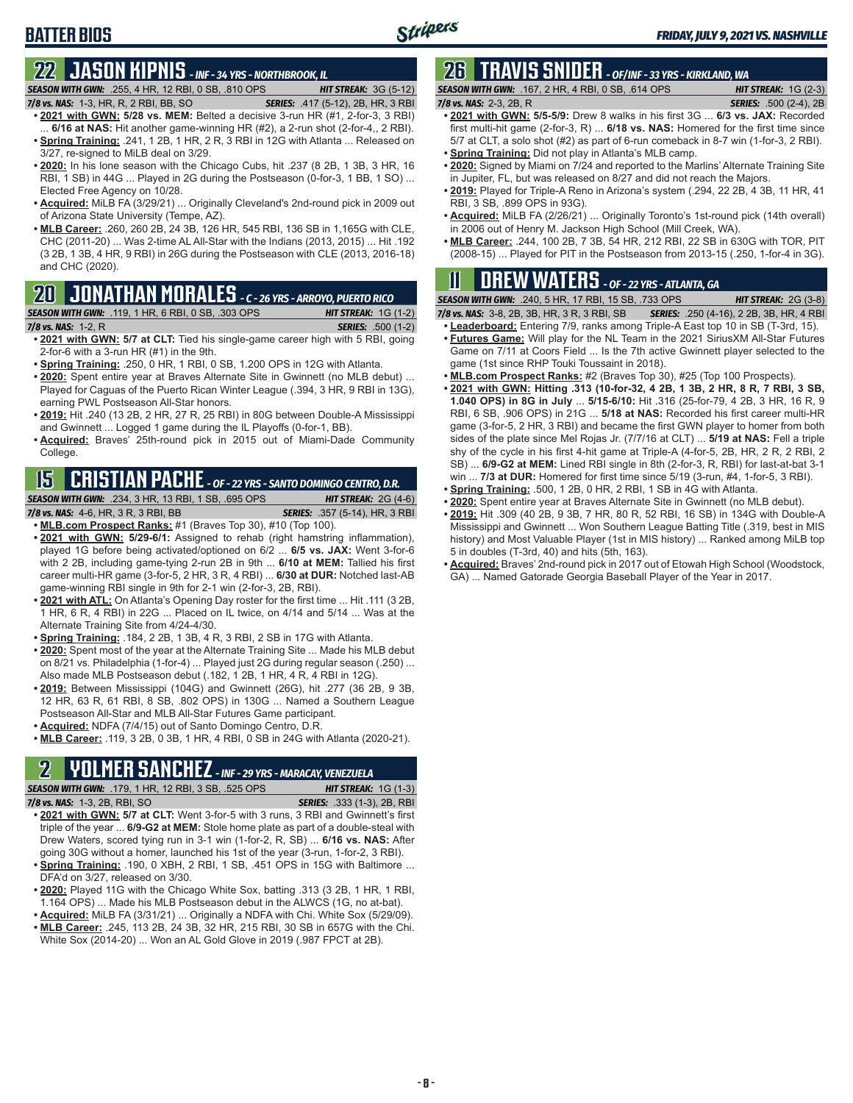### **BATTER BIOS**

### **22 JASON KIPNIS** *- INF - 34 YRS - NORTHBROOK, IL*

#### *SEASON WITH GWN:*.255, 4 HR, 12 RBI, 0 SB, .810 OPS *HIT STREAK:* 3G (5-12)

- *7/8 vs. NAS:*1-3, HR, R, 2 RBI, BB, SO *SERIES:* .417 (5-12), 2B, HR, 3 RBI **• 2021 with GWN: 5/28 vs. MEM:** Belted a decisive 3-run HR (#1, 2-for-3, 3 RBI)
- ... **6/16 at NAS:** Hit another game-winning HR (#2), a 2-run shot (2-for-4,, 2 RBI). **• Spring Training:** .241, 1 2B, 1 HR, 2 R, 3 RBI in 12G with Atlanta ... Released on 3/27, re-signed to MiLB deal on 3/29.
- **• 2020:** In his lone season with the Chicago Cubs, hit .237 (8 2B, 1 3B, 3 HR, 16 RBI, 1 SB) in 44G ... Played in 2G during the Postseason (0-for-3, 1 BB, 1 SO) ... Elected Free Agency on 10/28.
- **• Acquired:** MiLB FA (3/29/21) ... Originally Cleveland's 2nd-round pick in 2009 out of Arizona State University (Tempe, AZ).
- **• MLB Career:** .260, 260 2B, 24 3B, 126 HR, 545 RBI, 136 SB in 1,165G with CLE, CHC (2011-20) ... Was 2-time AL All-Star with the Indians (2013, 2015) ... Hit .192 (3 2B, 1 3B, 4 HR, 9 RBI) in 26G during the Postseason with CLE (2013, 2016-18) and CHC (2020).

### **20 JONATHAN MORALES** *- C - 26 YRS - ARROYO, PUERTO RICO*

#### *SEASON WITH GWN:*.119, 1 HR, 6 RBI, 0 SB, .303 OPS *HIT STREAK:* 1G (1-2)

*7/8 vs. NAS:*1-2, R *SERIES:* .500 (1-2)

- **• 2021 with GWN: 5/7 at CLT:** Tied his single-game career high with 5 RBI, going 2-for-6 with a 3-run HR (#1) in the 9th.
- **• Spring Training:** .250, 0 HR, 1 RBI, 0 SB, 1.200 OPS in 12G with Atlanta.
- **• 2020:** Spent entire year at Braves Alternate Site in Gwinnett (no MLB debut) ... Played for Caguas of the Puerto Rican Winter League (.394, 3 HR, 9 RBI in 13G), earning PWL Postseason All-Star honors.
- **• 2019:** Hit .240 (13 2B, 2 HR, 27 R, 25 RBI) in 80G between Double-A Mississippi and Gwinnett ... Logged 1 game during the IL Playoffs (0-for-1, BB).
- **• Acquired:** Braves' 25th-round pick in 2015 out of Miami-Dade Community College.

## **15 CRISTIAN PACHE** *- OF - 22 YRS - SANTO DOMINGO CENTRO, D.R.*

*SEASON WITH GWN:*.234, 3 HR, 13 RBI, 1 SB, .695 OPS *HIT STREAK:* 2G (4-6) *7/8 vs. NAS:* 4-6, HR, 3 R, 3 RBI, BB *SERIES:* .357 (5-14), HR, 3 RBI **• MLB.com Prospect Ranks:** #1 (Braves Top 30), #10 (Top 100).

- **• 2021 with GWN: 5/29-6/1:** Assigned to rehab (right hamstring inflammation), played 1G before being activated/optioned on 6/2 ... **6/5 vs. JAX:** Went 3-for-6 with 2 2B, including game-tying 2-run 2B in 9th ... **6/10 at MEM:** Tallied his first career multi-HR game (3-for-5, 2 HR, 3 R, 4 RBI) ... **6/30 at DUR:** Notched last-AB game-winning RBI single in 9th for 2-1 win (2-for-3, 2B, RBI).
- **• 2021 with ATL:** On Atlanta's Opening Day roster for the first time ... Hit .111 (3 2B, 1 HR, 6 R, 4 RBI) in 22G ... Placed on IL twice, on 4/14 and 5/14 ... Was at the Alternate Training Site from 4/24-4/30.
- **• Spring Training:** .184, 2 2B, 1 3B, 4 R, 3 RBI, 2 SB in 17G with Atlanta.
- **• 2020:** Spent most of the year at the Alternate Training Site ... Made his MLB debut on 8/21 vs. Philadelphia (1-for-4) ... Played just 2G during regular season (.250) ... Also made MLB Postseason debut (.182, 1 2B, 1 HR, 4 R, 4 RBI in 12G).
- **• 2019:** Between Mississippi (104G) and Gwinnett (26G), hit .277 (36 2B, 9 3B, 12 HR, 63 R, 61 RBI, 8 SB, .802 OPS) in 130G ... Named a Southern League Postseason All-Star and MLB All-Star Futures Game participant.
- **• Acquired:** NDFA (7/4/15) out of Santo Domingo Centro, D.R.
- **• MLB Career:** .119, 3 2B, 0 3B, 1 HR, 4 RBI, 0 SB in 24G with Atlanta (2020-21).

# **2 YOLMER SANCHEZ** *- INF - 29 YRS - MARACAY, VENEZUELA*

**SEASON WITH GWN:** .179, 1 HR, 12 RBI, 3 SB, .525 OPS

- *7/8 vs. NAS:*1-3, 2B, RBI, SO *SERIES:* .333 (1-3), 2B, RBI **• 2021 with GWN: 5/7 at CLT:** Went 3-for-5 with 3 runs, 3 RBI and Gwinnett's first triple of the year ... **6/9-G2 at MEM:** Stole home plate as part of a double-steal with Drew Waters, scored tying run in 3-1 win (1-for-2, R, SB) ... **6/16 vs. NAS:** After going 30G without a homer, launched his 1st of the year (3-run, 1-for-2, 3 RBI).
- **• Spring Training:** .190, 0 XBH, 2 RBI, 1 SB, .451 OPS in 15G with Baltimore ... DFA'd on 3/27, released on 3/30.
- **• 2020:** Played 11G with the Chicago White Sox, batting .313 (3 2B, 1 HR, 1 RBI, 1.164 OPS) ... Made his MLB Postseason debut in the ALWCS (1G, no at-bat).
- **• Acquired:** MiLB FA (3/31/21) ... Originally a NDFA with Chi. White Sox (5/29/09). **• MLB Career:** .245, 113 2B, 24 3B, 32 HR, 215 RBI, 30 SB in 657G with the Chi.
- White Sox (2014-20) ... Won an AL Gold Glove in 2019 (.987 FPCT at 2B).

## **26 TRAVIS SNIDER** *- OF/INF - 33 YRS - KIRKLAND, WA*

| <b>SEASON WITH GWN:</b> .167. 2 HR. 4 RBI. 0 SB. .614 OPS | <b>HIT STREAK:</b> $1G(2-3)$  |
|-----------------------------------------------------------|-------------------------------|
| 7/8 vs. NAS: 2-3, 2B, R                                   | <b>SERIES:</b> .500 (2-4), 2B |
| $\overline{a}$                                            |                               |

- **• 2021 with GWN: 5/5-5/9:** Drew 8 walks in his first 3G ... **6/3 vs. JAX:** Recorded first multi-hit game (2-for-3, R) ... **6/18 vs. NAS:** Homered for the first time since 5/7 at CLT, a solo shot (#2) as part of 6-run comeback in 8-7 win (1-for-3, 2 RBI).
- **• Spring Training:** Did not play in Atlanta's MLB camp.
- **• 2020:** Signed by Miami on 7/24 and reported to the Marlins' Alternate Training Site in Jupiter, FL, but was released on 8/27 and did not reach the Majors.
- **• 2019:** Played for Triple-A Reno in Arizona's system (.294, 22 2B, 4 3B, 11 HR, 41 RBI, 3 SB, .899 OPS in 93G).
- **• Acquired:** MiLB FA (2/26/21) ... Originally Toronto's 1st-round pick (14th overall) in 2006 out of Henry M. Jackson High School (Mill Creek, WA).
- **• MLB Career:** .244, 100 2B, 7 3B, 54 HR, 212 RBI, 22 SB in 630G with TOR, PIT (2008-15) ... Played for PIT in the Postseason from 2013-15 (.250, 1-for-4 in 3G).

## **11 Drew WATERS** *- OF - 22 YRS - ATLANTA, GA*

*SEASON WITH GWN:*.240, 5 HR, 17 RBI, 15 SB, .733 OPS *HIT STREAK:* 2G (3-8)

- *7/8 vs. NAS:*3-8, 2B, 3B, HR, 3 R, 3 RBI, SB *SERIES:* .250 (4-16), 2 2B, 3B, HR, 4 RBI
- **• Leaderboard:** Entering 7/9, ranks among Triple-A East top 10 in SB (T-3rd, 15). **• Futures Game:** Will play for the NL Team in the 2021 SiriusXM All-Star Futures Game on 7/11 at Coors Field ... Is the 7th active Gwinnett player selected to the game (1st since RHP Touki Toussaint in 2018).
- **• MLB.com Prospect Ranks:** #2 (Braves Top 30), #25 (Top 100 Prospects).
- **• 2021 with GWN: Hitting .313 (10-for-32, 4 2B, 1 3B, 2 HR, 8 R, 7 RBI, 3 SB, 1.040 OPS) in 8G in July** ... **5/15-6/10:** Hit .316 (25-for-79, 4 2B, 3 HR, 16 R, 9 RBI, 6 SB, .906 OPS) in 21G ... **5/18 at NAS:** Recorded his first career multi-HR game (3-for-5, 2 HR, 3 RBI) and became the first GWN player to homer from both sides of the plate since Mel Rojas Jr. (7/7/16 at CLT) ... **5/19 at NAS:** Fell a triple shy of the cycle in his first 4-hit game at Triple-A (4-for-5, 2B, HR, 2 R, 2 RBI, 2 SB) ... **6/9-G2 at MEM:** Lined RBI single in 8th (2-for-3, R, RBI) for last-at-bat 3-1 win ... **7/3 at DUR:** Homered for first time since 5/19 (3-run, #4, 1-for-5, 3 RBI).
- **• Spring Training:** .500, 1 2B, 0 HR, 2 RBI, 1 SB in 4G with Atlanta.
- **• 2020:** Spent entire year at Braves Alternate Site in Gwinnett (no MLB debut).
- **• 2019:** Hit .309 (40 2B, 9 3B, 7 HR, 80 R, 52 RBI, 16 SB) in 134G with Double-A Mississippi and Gwinnett ... Won Southern League Batting Title (.319, best in MIS history) and Most Valuable Player (1st in MIS history) ... Ranked among MiLB top 5 in doubles (T-3rd, 40) and hits (5th, 163).
- **• Acquired:** Braves' 2nd-round pick in 2017 out of Etowah High School (Woodstock, GA) ... Named Gatorade Georgia Baseball Player of the Year in 2017.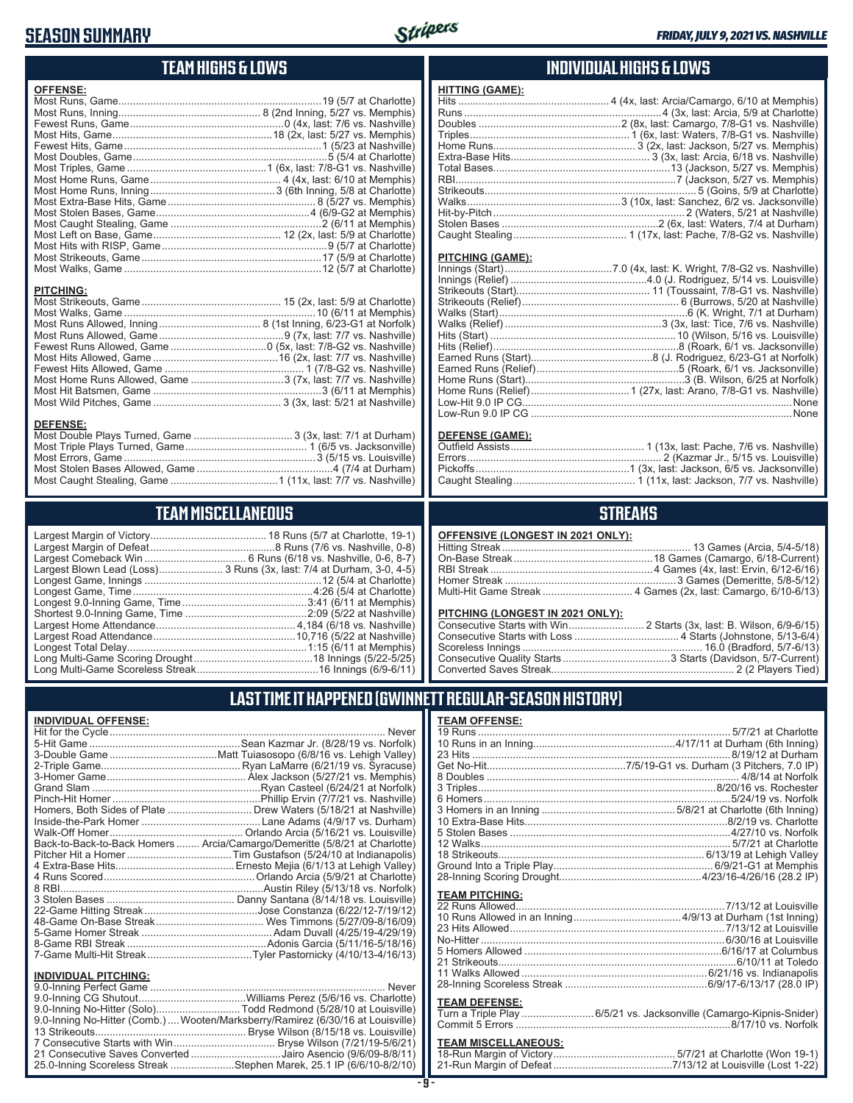#### **SEASON SUMMARY**



**HITTING (GAME):**

#### **TEAM HIGHS & LOWS**

| <b>OFFENSE:</b>  |  |
|------------------|--|
|                  |  |
|                  |  |
|                  |  |
|                  |  |
| <b>PITCHING:</b> |  |
|                  |  |
|                  |  |
|                  |  |
|                  |  |
|                  |  |
|                  |  |

Most Home Runs Allowed, Game 3 (7x, last: 7/7 vs. Nashville) Most Hit Batsmen, Game 3 (6/11 at Memphis) Most Wild Pitches, Game 3 (3x, last: 5/21 at Nashville)

Most Double Plays Turned, Game 3 (3x, last: 7/1 at Durham) Most Triple Plays Turned, Game 1 (6/5 vs. Jacksonville) Most Errors, Game 3 (5/15 vs. Louisville) Most Stolen Bases Allowed, Game 4 (7/4 at Durham) Most Caught Stealing, Game 1 (11x, last: 7/7 vs. Nashville)

**TEAM MISCELLANEOUS** Largest Margin of Victory 18 Runs (5/7 at Charlotte, 19-1)

#### **INDIVIDUAL HIGHS & LOWS**

| <b>PITCHING (GAME):</b> |  |
|-------------------------|--|
|                         |  |
|                         |  |
|                         |  |
|                         |  |
|                         |  |

#### **DEFENSE (GAME):**

#### **STREAKS**

|--|

#### **LAST TIME IT HAPPENED (GWINNETT REGULAR-SEASON HISTORY)**

#### **INDIVIDUAL OFFENSE:**

|                             | Homers, Both Sides of Plate  Drew Waters (5/18/21 at Nashville)            |
|-----------------------------|----------------------------------------------------------------------------|
|                             |                                                                            |
|                             |                                                                            |
|                             | Back-to-Back-to-Back Homers  Arcia/Camargo/Demeritte (5/8/21 at Charlotte) |
|                             |                                                                            |
|                             |                                                                            |
|                             |                                                                            |
|                             |                                                                            |
|                             |                                                                            |
|                             |                                                                            |
|                             |                                                                            |
|                             |                                                                            |
|                             |                                                                            |
|                             |                                                                            |
| <b>INDIVIDUAL PITCHING:</b> |                                                                            |
| 9 0-Inning Perfect Game     | Never                                                                      |

| 9.0-Inning No-Hitter (Solo)Todd Redmond (5/28/10 at Louisville)                |  |
|--------------------------------------------------------------------------------|--|
| 9.0-Inning No-Hitter (Comb.) Wooten/Marksberry/Ramirez (6/30/16 at Louisville) |  |
|                                                                                |  |
|                                                                                |  |
| 21 Consecutive Saves Converted Jairo Asencio (9/6/09-8/8/11)                   |  |
| 25.0-Inning Scoreless Streak Stephen Marek, 25.1 IP (6/6/10-8/2/10)            |  |
|                                                                                |  |

#### **- 9 -**

| <b>TEAM OFFENSE:</b>  |                                                        |
|-----------------------|--------------------------------------------------------|
|                       |                                                        |
|                       |                                                        |
|                       | 23 Hits …………………………………………………………………………8/19/12 at Durham  |
|                       |                                                        |
|                       |                                                        |
|                       |                                                        |
|                       | 6 Homers………………………………………………………………………5/24/19 vs. Norfolk |
|                       |                                                        |
|                       |                                                        |
|                       |                                                        |
|                       |                                                        |
|                       |                                                        |
|                       |                                                        |
|                       |                                                        |
| <b>TEAM PITCHING:</b> |                                                        |

#### **TEAM DEFENSE:**

| . |                                                                    |
|---|--------------------------------------------------------------------|
|   | Turn a Triple Play 6/5/21 vs. Jacksonville (Camargo-Kipnis-Snider) |
|   |                                                                    |

#### **TEAM MISCELLANEOUS:**

| 21-Run Margin of Defeat…………………………………7/13/12 at Louisville (Lost 1-22) |  |  |
|-----------------------------------------------------------------------|--|--|

| shville) $\ $    | PITCHING (LONGEST IN 2021 ONLY): |
|------------------|----------------------------------|
| shville) $\vert$ | Consecutive Starts with Win      |
| shville) $\vert$ | Consecutive Starts with Loss     |
|                  |                                  |

Largest Margin of Defeat 8 Runs (7/6 vs. Nashville, 0-8) Largest Comeback Win ................................... 6 Runs (6/18 vs. Nashville, 0-6, 8-7)

**DEFENSE:**

Largest Blown Lead (Loss)...................... 3 Runs (3x, last: 7/4 at Durham, 3-0, 4-5) Longest Game, Innings 12 (5/4 at Charlotte) Longest Game, Time 4:26 (5/4 at Charlotte) Longest 9.0-Inning Game, Time 3:41 (6/11 at Memphis) Shortest 9.0-Inning Game, Time 2:09 (5/22 at Nashville) Largest Home Attendance 4,184 (6/18 vs. Nashville) Largest Road Attendance 10,716 (5/22 at Nashville) Longest Total Delay 1:15 (6/11 at Memphis) Long Multi-Game Scoring Drought……………………………………18 Innings (5/22-5/25) Long Multi-Game Scoreless Streak 16 Innings (6/9-6/11)